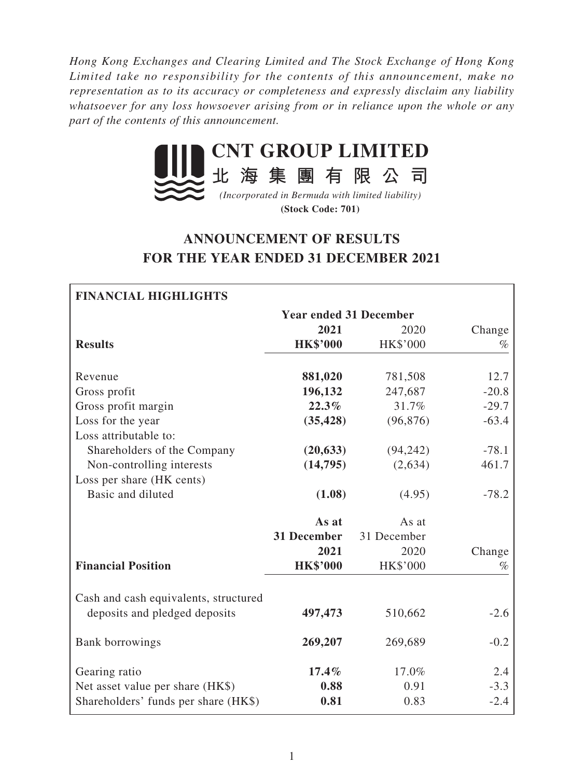*Hong Kong Exchanges and Clearing Limited and The Stock Exchange of Hong Kong Limited take no responsibility for the contents of this announcement, make no representation as to its accuracy or completeness and expressly disclaim any liability whatsoever for any loss howsoever arising from or in reliance upon the whole or any part of the contents of this announcement.*



**(Stock Code: 701)**

# **ANNOUNCEMENT OF RESULTS FOR THE YEAR ENDED 31 DECEMBER 2021**

| <b>FINANCIAL HIGHLIGHTS</b>                                            |                               |                 |         |
|------------------------------------------------------------------------|-------------------------------|-----------------|---------|
|                                                                        | <b>Year ended 31 December</b> |                 |         |
|                                                                        | 2021                          | 2020            | Change  |
| <b>Results</b>                                                         | <b>HK\$'000</b>               | HK\$'000        | %       |
| Revenue                                                                | 881,020                       | 781,508         | 12.7    |
| Gross profit                                                           | 196,132                       | 247,687         | $-20.8$ |
| Gross profit margin                                                    | 22.3%                         | 31.7%           | $-29.7$ |
| Loss for the year                                                      | (35, 428)                     | (96, 876)       | $-63.4$ |
| Loss attributable to:                                                  |                               |                 |         |
| Shareholders of the Company                                            | (20, 633)                     | (94, 242)       | $-78.1$ |
| Non-controlling interests                                              | (14,795)                      | (2,634)         | 461.7   |
| Loss per share (HK cents)                                              |                               |                 |         |
| Basic and diluted                                                      | (1.08)                        | (4.95)          | $-78.2$ |
|                                                                        | As at                         | As at           |         |
|                                                                        | 31 December                   | 31 December     |         |
|                                                                        | 2021                          | 2020            | Change  |
| <b>Financial Position</b>                                              | <b>HK\$'000</b>               | <b>HK\$'000</b> | $\%$    |
| Cash and cash equivalents, structured<br>deposits and pledged deposits | 497,473                       | 510,662         | $-2.6$  |
| Bank borrowings                                                        | 269,207                       | 269,689         | $-0.2$  |
| Gearing ratio                                                          | 17.4%                         | 17.0%           | 2.4     |
| Net asset value per share (HK\$)                                       | 0.88                          | 0.91            | $-3.3$  |
| Shareholders' funds per share (HK\$)                                   | 0.81                          | 0.83            | $-2.4$  |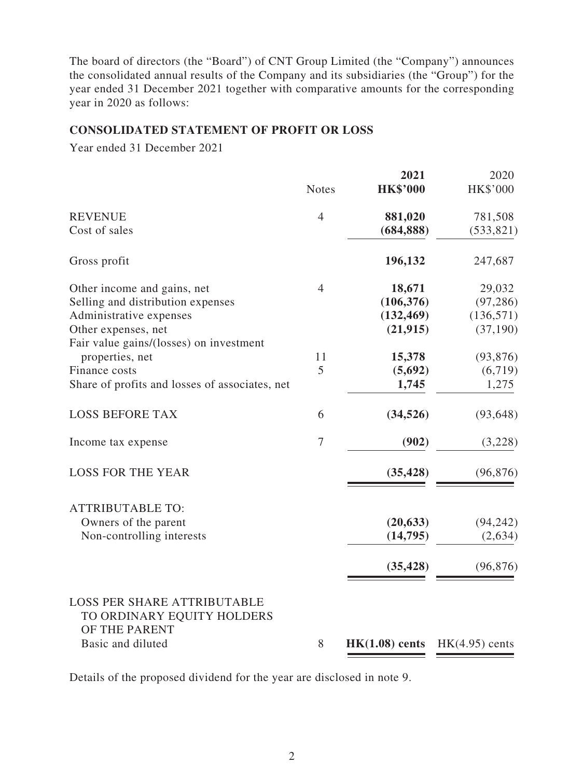The board of directors (the "Board") of CNT Group Limited (the "Company") announces the consolidated annual results of the Company and its subsidiaries (the "Group") for the year ended 31 December 2021 together with comparative amounts for the corresponding year in 2020 as follows:

#### **CONSOLIDATED STATEMENT OF PROFIT OR LOSS**

Year ended 31 December 2021

|                                                                                                        | <b>Notes</b>   | 2021<br><b>HK\$'000</b> | 2020<br>HK\$'000 |
|--------------------------------------------------------------------------------------------------------|----------------|-------------------------|------------------|
| <b>REVENUE</b>                                                                                         | $\overline{4}$ | 881,020                 | 781,508          |
| Cost of sales                                                                                          |                | (684, 888)              | (533, 821)       |
| Gross profit                                                                                           |                | 196,132                 | 247,687          |
| Other income and gains, net                                                                            | 4              | 18,671                  | 29,032           |
| Selling and distribution expenses                                                                      |                | (106, 376)              | (97, 286)        |
| Administrative expenses                                                                                |                | (132, 469)              | (136, 571)       |
| Other expenses, net                                                                                    |                | (21, 915)               | (37, 190)        |
| Fair value gains/(losses) on investment                                                                |                |                         |                  |
| properties, net                                                                                        | 11             | 15,378                  | (93, 876)        |
| Finance costs                                                                                          | 5              | (5,692)                 | (6,719)          |
| Share of profits and losses of associates, net                                                         |                | 1,745                   | 1,275            |
| <b>LOSS BEFORE TAX</b>                                                                                 | 6              | (34, 526)               | (93, 648)        |
| Income tax expense                                                                                     | 7              | (902)                   | (3,228)          |
| <b>LOSS FOR THE YEAR</b>                                                                               |                | (35, 428)               | (96, 876)        |
| <b>ATTRIBUTABLE TO:</b>                                                                                |                |                         |                  |
| Owners of the parent                                                                                   |                | (20, 633)               | (94, 242)        |
| Non-controlling interests                                                                              |                | (14, 795)               | (2,634)          |
|                                                                                                        |                | (35, 428)               | (96, 876)        |
| <b>LOSS PER SHARE ATTRIBUTABLE</b><br>TO ORDINARY EQUITY HOLDERS<br>OF THE PARENT<br>Basic and diluted | 8              | $HK(1.08)$ cents        | $HK(4.95)$ cents |
|                                                                                                        |                |                         |                  |

Details of the proposed dividend for the year are disclosed in note 9.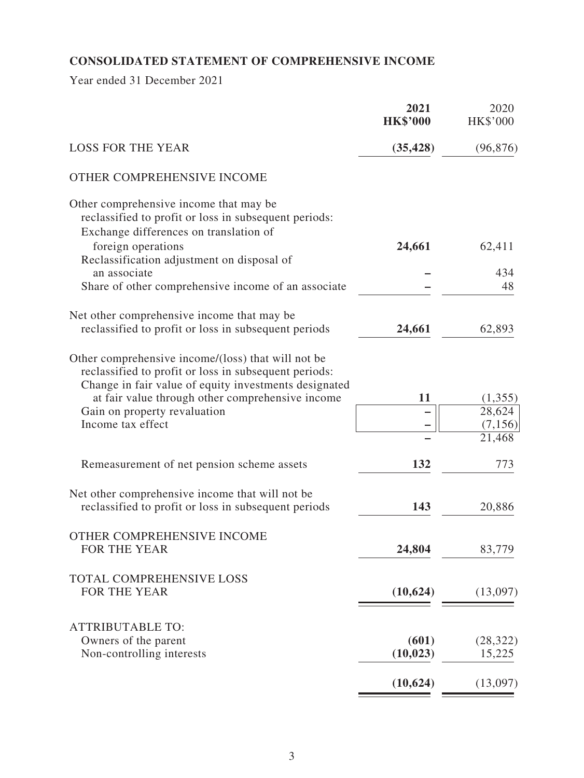# **CONSOLIDATED STATEMENT OF COMPREHENSIVE INCOME**

Year ended 31 December 2021

|                                                                                                                                                                                                                          | 2021<br><b>HK\$'000</b> | 2020<br><b>HK\$'000</b> |
|--------------------------------------------------------------------------------------------------------------------------------------------------------------------------------------------------------------------------|-------------------------|-------------------------|
| <b>LOSS FOR THE YEAR</b>                                                                                                                                                                                                 | (35, 428)               | (96, 876)               |
| OTHER COMPREHENSIVE INCOME                                                                                                                                                                                               |                         |                         |
| Other comprehensive income that may be<br>reclassified to profit or loss in subsequent periods:<br>Exchange differences on translation of                                                                                |                         |                         |
| foreign operations                                                                                                                                                                                                       | 24,661                  | 62,411                  |
| Reclassification adjustment on disposal of                                                                                                                                                                               |                         |                         |
| an associate<br>Share of other comprehensive income of an associate                                                                                                                                                      |                         | 434<br>48               |
| Net other comprehensive income that may be                                                                                                                                                                               |                         |                         |
| reclassified to profit or loss in subsequent periods                                                                                                                                                                     | 24,661                  | 62,893                  |
| Other comprehensive income/(loss) that will not be<br>reclassified to profit or loss in subsequent periods:<br>Change in fair value of equity investments designated<br>at fair value through other comprehensive income | 11                      | (1,355)                 |
| Gain on property revaluation                                                                                                                                                                                             |                         | 28,624                  |
| Income tax effect                                                                                                                                                                                                        |                         | (7,156)                 |
|                                                                                                                                                                                                                          |                         | 21,468                  |
| Remeasurement of net pension scheme assets                                                                                                                                                                               | 132                     | 773                     |
| Net other comprehensive income that will not be                                                                                                                                                                          |                         |                         |
| reclassified to profit or loss in subsequent periods                                                                                                                                                                     | 143                     | 20,886                  |
| OTHER COMPREHENSIVE INCOME                                                                                                                                                                                               |                         |                         |
| FOR THE YEAR                                                                                                                                                                                                             | 24,804                  | 83,779                  |
| TOTAL COMPREHENSIVE LOSS                                                                                                                                                                                                 |                         |                         |
| FOR THE YEAR                                                                                                                                                                                                             | (10, 624)               | (13,097)                |
| <b>ATTRIBUTABLE TO:</b>                                                                                                                                                                                                  |                         |                         |
| Owners of the parent                                                                                                                                                                                                     | (601)                   | (28, 322)               |
| Non-controlling interests                                                                                                                                                                                                | (10, 023)               | 15,225                  |
|                                                                                                                                                                                                                          | (10, 624)               | (13,097)                |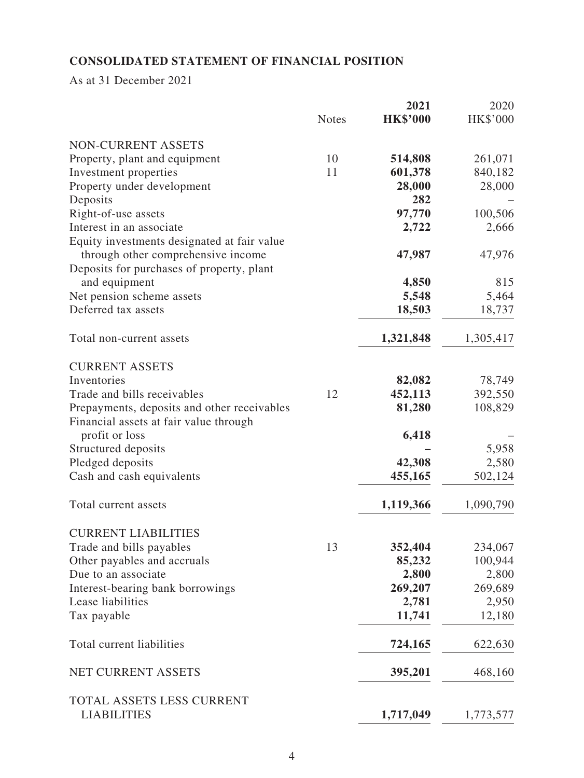# **CONSOLIDATED STATEMENT OF FINANCIAL POSITION**

As at 31 December 2021

|                                             |              | 2021            | 2020      |
|---------------------------------------------|--------------|-----------------|-----------|
|                                             | <b>Notes</b> | <b>HK\$'000</b> | HK\$'000  |
| NON-CURRENT ASSETS                          |              |                 |           |
| Property, plant and equipment               | 10           | 514,808         | 261,071   |
| Investment properties                       | 11           | 601,378         | 840,182   |
| Property under development                  |              | 28,000          | 28,000    |
| Deposits                                    |              | 282             |           |
| Right-of-use assets                         |              | 97,770          | 100,506   |
| Interest in an associate                    |              | 2,722           | 2,666     |
| Equity investments designated at fair value |              |                 |           |
| through other comprehensive income          |              | 47,987          | 47,976    |
| Deposits for purchases of property, plant   |              |                 |           |
| and equipment                               |              | 4,850           | 815       |
| Net pension scheme assets                   |              | 5,548           | 5,464     |
| Deferred tax assets                         |              | 18,503          | 18,737    |
| Total non-current assets                    |              | 1,321,848       | 1,305,417 |
|                                             |              |                 |           |
| <b>CURRENT ASSETS</b>                       |              |                 |           |
| Inventories                                 |              | 82,082          | 78,749    |
| Trade and bills receivables                 | 12           | 452,113         | 392,550   |
| Prepayments, deposits and other receivables |              | 81,280          | 108,829   |
| Financial assets at fair value through      |              |                 |           |
| profit or loss                              |              | 6,418           |           |
| Structured deposits                         |              |                 | 5,958     |
| Pledged deposits                            |              | 42,308          | 2,580     |
| Cash and cash equivalents                   |              | 455,165         | 502,124   |
| Total current assets                        |              | 1,119,366       | 1,090,790 |
| <b>CURRENT LIABILITIES</b>                  |              |                 |           |
| Trade and bills payables                    | 13           | 352,404         | 234,067   |
| Other payables and accruals                 |              | 85,232          | 100,944   |
| Due to an associate                         |              | 2,800           | 2,800     |
| Interest-bearing bank borrowings            |              | 269,207         | 269,689   |
| Lease liabilities                           |              | 2,781           | 2,950     |
| Tax payable                                 |              | 11,741          | 12,180    |
|                                             |              |                 |           |
| Total current liabilities                   |              | 724,165         | 622,630   |
| NET CURRENT ASSETS                          |              | 395,201         | 468,160   |
| TOTAL ASSETS LESS CURRENT                   |              |                 |           |
| <b>LIABILITIES</b>                          |              | 1,717,049       | 1,773,577 |
|                                             |              |                 |           |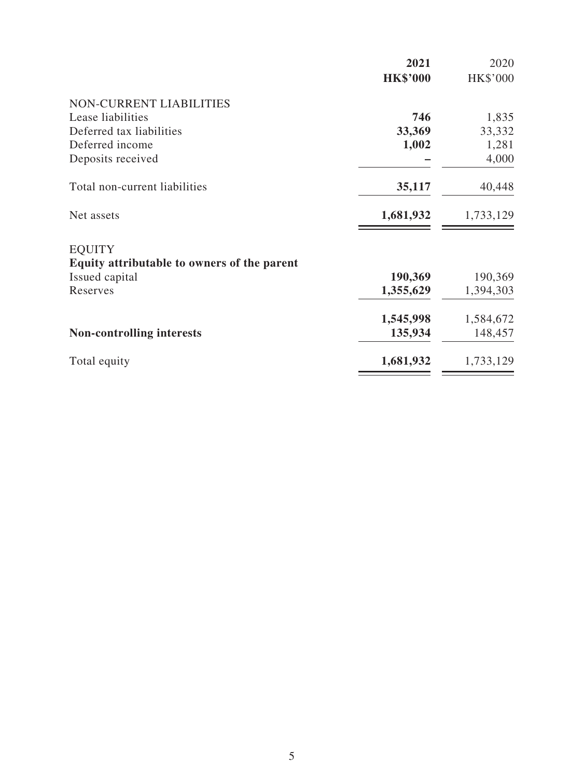|                                             | 2021            | 2020            |
|---------------------------------------------|-----------------|-----------------|
|                                             | <b>HK\$'000</b> | <b>HK\$'000</b> |
| <b>NON-CURRENT LIABILITIES</b>              |                 |                 |
| Lease liabilities                           | 746             | 1,835           |
| Deferred tax liabilities                    | 33,369          | 33,332          |
| Deferred income                             | 1,002           | 1,281           |
| Deposits received                           |                 | 4,000           |
| Total non-current liabilities               | 35,117          | 40,448          |
| Net assets                                  | 1,681,932       | 1,733,129       |
| <b>EQUITY</b>                               |                 |                 |
| Equity attributable to owners of the parent |                 |                 |
| Issued capital                              | 190,369         | 190,369         |
| Reserves                                    | 1,355,629       | 1,394,303       |
|                                             | 1,545,998       | 1,584,672       |
| <b>Non-controlling interests</b>            | 135,934         | 148,457         |
| Total equity                                | 1,681,932       | 1,733,129       |
|                                             |                 |                 |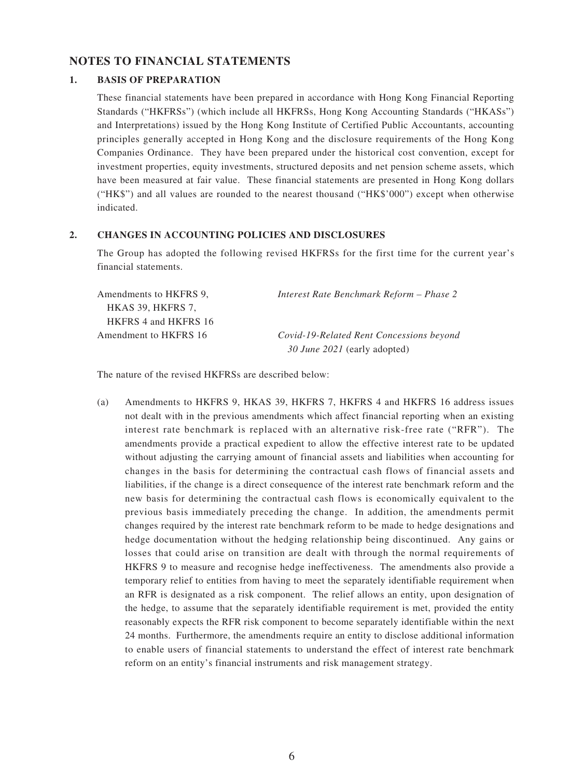#### **NOTES TO FINANCIAL STATEMENTS**

#### **1. BASIS OF PREPARATION**

These financial statements have been prepared in accordance with Hong Kong Financial Reporting Standards ("HKFRSs") (which include all HKFRSs, Hong Kong Accounting Standards ("HKASs") and Interpretations) issued by the Hong Kong Institute of Certified Public Accountants, accounting principles generally accepted in Hong Kong and the disclosure requirements of the Hong Kong Companies Ordinance. They have been prepared under the historical cost convention, except for investment properties, equity investments, structured deposits and net pension scheme assets, which have been measured at fair value. These financial statements are presented in Hong Kong dollars ("HK\$") and all values are rounded to the nearest thousand ("HK\$'000") except when otherwise indicated.

#### **2. CHANGES IN ACCOUNTING POLICIES AND DISCLOSURES**

The Group has adopted the following revised HKFRSs for the first time for the current year's financial statements.

| Amendments to HKFRS 9. | Interest Rate Benchmark Reform – Phase 2 |
|------------------------|------------------------------------------|
| HKAS 39, HKFRS 7,      |                                          |
| HKFRS 4 and HKFRS 16   |                                          |
| Amendment to HKFRS 16  | Covid-19-Related Rent Concessions beyond |
|                        | 30 June 2021 (early adopted)             |

The nature of the revised HKFRSs are described below:

(a) Amendments to HKFRS 9, HKAS 39, HKFRS 7, HKFRS 4 and HKFRS 16 address issues not dealt with in the previous amendments which affect financial reporting when an existing interest rate benchmark is replaced with an alternative risk-free rate ("RFR"). The amendments provide a practical expedient to allow the effective interest rate to be updated without adjusting the carrying amount of financial assets and liabilities when accounting for changes in the basis for determining the contractual cash flows of financial assets and liabilities, if the change is a direct consequence of the interest rate benchmark reform and the new basis for determining the contractual cash flows is economically equivalent to the previous basis immediately preceding the change. In addition, the amendments permit changes required by the interest rate benchmark reform to be made to hedge designations and hedge documentation without the hedging relationship being discontinued. Any gains or losses that could arise on transition are dealt with through the normal requirements of HKFRS 9 to measure and recognise hedge ineffectiveness. The amendments also provide a temporary relief to entities from having to meet the separately identifiable requirement when an RFR is designated as a risk component. The relief allows an entity, upon designation of the hedge, to assume that the separately identifiable requirement is met, provided the entity reasonably expects the RFR risk component to become separately identifiable within the next 24 months. Furthermore, the amendments require an entity to disclose additional information to enable users of financial statements to understand the effect of interest rate benchmark reform on an entity's financial instruments and risk management strategy.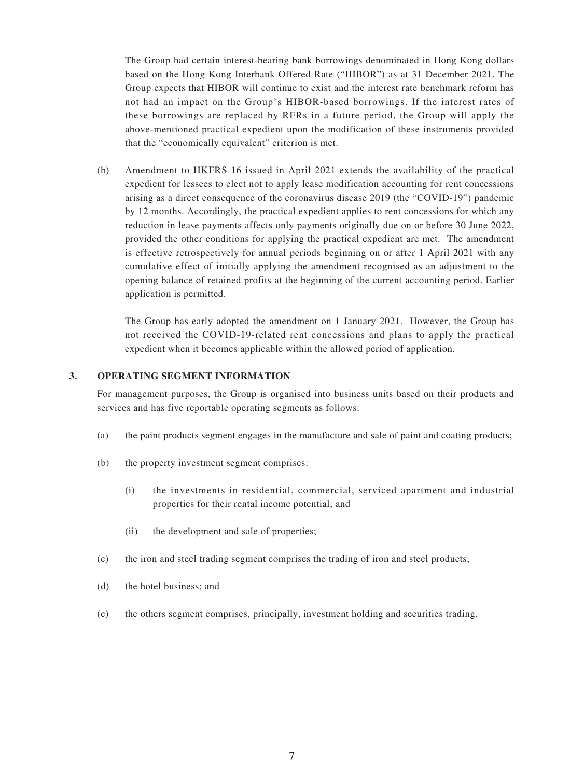The Group had certain interest-bearing bank borrowings denominated in Hong Kong dollars based on the Hong Kong Interbank Offered Rate ("HIBOR") as at 31 December 2021. The Group expects that HIBOR will continue to exist and the interest rate benchmark reform has not had an impact on the Group's HIBOR-based borrowings. If the interest rates of these borrowings are replaced by RFRs in a future period, the Group will apply the above-mentioned practical expedient upon the modification of these instruments provided that the "economically equivalent" criterion is met.

(b) Amendment to HKFRS 16 issued in April 2021 extends the availability of the practical expedient for lessees to elect not to apply lease modification accounting for rent concessions arising as a direct consequence of the coronavirus disease 2019 (the "COVID-19") pandemic by 12 months. Accordingly, the practical expedient applies to rent concessions for which any reduction in lease payments affects only payments originally due on or before 30 June 2022, provided the other conditions for applying the practical expedient are met. The amendment is effective retrospectively for annual periods beginning on or after 1 April 2021 with any cumulative effect of initially applying the amendment recognised as an adjustment to the opening balance of retained profits at the beginning of the current accounting period. Earlier application is permitted.

The Group has early adopted the amendment on 1 January 2021. However, the Group has not received the COVID-19-related rent concessions and plans to apply the practical expedient when it becomes applicable within the allowed period of application.

#### **3. OPERATING SEGMENT INFORMATION**

For management purposes, the Group is organised into business units based on their products and services and has five reportable operating segments as follows:

- (a) the paint products segment engages in the manufacture and sale of paint and coating products;
- (b) the property investment segment comprises:
	- (i) the investments in residential, commercial, serviced apartment and industrial properties for their rental income potential; and
	- (ii) the development and sale of properties;
- (c) the iron and steel trading segment comprises the trading of iron and steel products;
- (d) the hotel business; and
- (e) the others segment comprises, principally, investment holding and securities trading.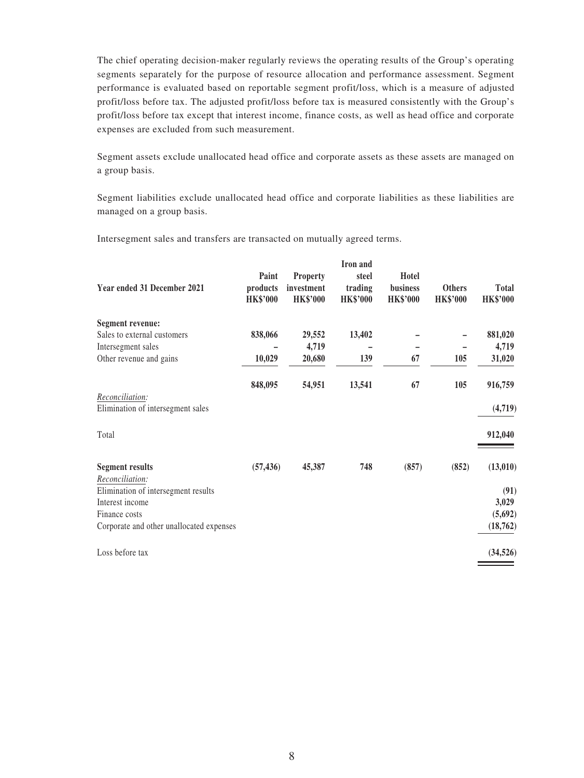The chief operating decision-maker regularly reviews the operating results of the Group's operating segments separately for the purpose of resource allocation and performance assessment. Segment performance is evaluated based on reportable segment profit/loss, which is a measure of adjusted profit/loss before tax. The adjusted profit/loss before tax is measured consistently with the Group's profit/loss before tax except that interest income, finance costs, as well as head office and corporate expenses are excluded from such measurement.

Segment assets exclude unallocated head office and corporate assets as these assets are managed on a group basis.

Segment liabilities exclude unallocated head office and corporate liabilities as these liabilities are managed on a group basis.

Intersegment sales and transfers are transacted on mutually agreed terms.

| Year ended 31 December 2021               | Paint<br>products<br><b>HK\$'000</b> | <b>Property</b><br>investment<br><b>HK\$'000</b> | Iron and<br>steel<br>trading<br><b>HK\$'000</b> | Hotel<br>business<br><b>HK\$'000</b> | <b>Others</b><br><b>HK\$'000</b> | <b>Total</b><br><b>HK\$'000</b> |
|-------------------------------------------|--------------------------------------|--------------------------------------------------|-------------------------------------------------|--------------------------------------|----------------------------------|---------------------------------|
| Segment revenue:                          |                                      |                                                  |                                                 |                                      |                                  |                                 |
| Sales to external customers               | 838,066                              | 29,552                                           | 13,402                                          |                                      |                                  | 881,020                         |
| Intersegment sales                        |                                      | 4,719                                            |                                                 |                                      |                                  | 4,719                           |
| Other revenue and gains                   | 10,029                               | 20,680                                           | 139                                             | 67                                   | 105                              | 31,020                          |
| Reconciliation:                           | 848,095                              | 54,951                                           | 13,541                                          | 67                                   | 105                              | 916,759                         |
| Elimination of intersegment sales         |                                      |                                                  |                                                 |                                      |                                  | (4,719)                         |
| Total                                     |                                      |                                                  |                                                 |                                      |                                  | 912,040                         |
| <b>Segment results</b><br>Reconciliation: | (57, 436)                            | 45,387                                           | 748                                             | (857)                                | (852)                            | (13,010)                        |
| Elimination of intersegment results       |                                      |                                                  |                                                 |                                      |                                  | (91)                            |
| Interest income                           |                                      |                                                  |                                                 |                                      |                                  | 3,029                           |
| Finance costs                             |                                      |                                                  |                                                 |                                      |                                  | (5,692)                         |
| Corporate and other unallocated expenses  |                                      |                                                  |                                                 |                                      |                                  | (18, 762)                       |
| Loss before tax                           |                                      |                                                  |                                                 |                                      |                                  | (34, 526)                       |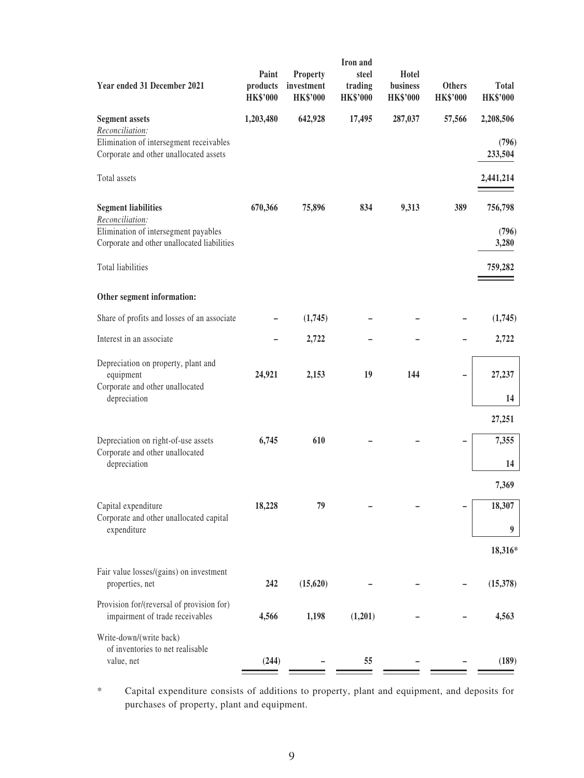| Year ended 31 December 2021                                                                            | Paint<br>products<br><b>HK\$'000</b> | Property<br>investment<br><b>HK\$'000</b> | Iron and<br>steel<br>trading<br><b>HK\$'000</b> | Hotel<br>business<br><b>HK\$'000</b> | <b>Others</b><br><b>HK\$'000</b> | <b>Total</b><br><b>HK\$'000</b> |
|--------------------------------------------------------------------------------------------------------|--------------------------------------|-------------------------------------------|-------------------------------------------------|--------------------------------------|----------------------------------|---------------------------------|
| <b>Segment assets</b>                                                                                  | 1,203,480                            | 642,928                                   | 17,495                                          | 287,037                              | 57,566                           | 2,208,506                       |
| Reconciliation:<br>Elimination of intersegment receivables<br>Corporate and other unallocated assets   |                                      |                                           |                                                 |                                      |                                  | (796)<br>233,504                |
| Total assets                                                                                           |                                      |                                           |                                                 |                                      |                                  | 2,441,214                       |
| <b>Segment liabilities</b>                                                                             | 670,366                              | 75,896                                    | 834                                             | 9,313                                | 389                              | 756,798                         |
| Reconciliation:<br>Elimination of intersegment payables<br>Corporate and other unallocated liabilities |                                      |                                           |                                                 |                                      |                                  | (796)<br>3,280                  |
| Total liabilities                                                                                      |                                      |                                           |                                                 |                                      |                                  | 759,282                         |
| Other segment information:                                                                             |                                      |                                           |                                                 |                                      |                                  |                                 |
| Share of profits and losses of an associate                                                            |                                      | (1,745)                                   |                                                 |                                      |                                  | (1,745)                         |
| Interest in an associate                                                                               |                                      | 2,722                                     |                                                 |                                      |                                  | 2,722                           |
| Depreciation on property, plant and<br>equipment<br>Corporate and other unallocated                    | 24,921                               | 2,153                                     | 19                                              | 144                                  |                                  | 27,237                          |
| depreciation                                                                                           |                                      |                                           |                                                 |                                      |                                  | 14                              |
|                                                                                                        |                                      |                                           |                                                 |                                      |                                  | 27,251                          |
| Depreciation on right-of-use assets<br>Corporate and other unallocated                                 | 6,745                                | 610                                       |                                                 |                                      |                                  | 7,355                           |
| depreciation                                                                                           |                                      |                                           |                                                 |                                      |                                  | 14                              |
| Capital expenditure                                                                                    | 18,228                               | 79                                        |                                                 |                                      |                                  | 7,369<br>18,307                 |
| Corporate and other unallocated capital<br>expenditure                                                 |                                      |                                           |                                                 |                                      |                                  | 9                               |
|                                                                                                        |                                      |                                           |                                                 |                                      |                                  | 18,316*                         |
| Fair value losses/(gains) on investment<br>properties, net                                             | 242                                  | (15, 620)                                 |                                                 |                                      |                                  | (15,378)                        |
| Provision for/(reversal of provision for)<br>impairment of trade receivables                           | 4,566                                | 1,198                                     | (1,201)                                         |                                      |                                  | 4,563                           |
| Write-down/(write back)<br>of inventories to net realisable                                            |                                      |                                           |                                                 |                                      |                                  |                                 |
| value, net                                                                                             | (244)                                |                                           | 55                                              |                                      |                                  | (189)                           |

\* Capital expenditure consists of additions to property, plant and equipment, and deposits for purchases of property, plant and equipment.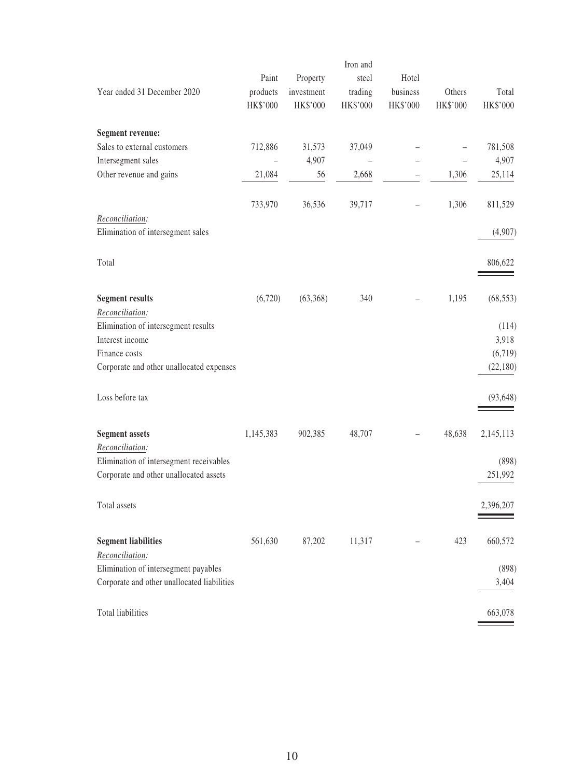|                                             |           |            | Iron and |          |          |           |
|---------------------------------------------|-----------|------------|----------|----------|----------|-----------|
|                                             | Paint     | Property   | steel    | Hotel    |          |           |
| Year ended 31 December 2020                 | products  | investment | trading  | business | Others   | Total     |
|                                             | HK\$'000  | HK\$'000   | HK\$'000 | HK\$'000 | HK\$'000 | HK\$'000  |
| Segment revenue:                            |           |            |          |          |          |           |
| Sales to external customers                 | 712,886   | 31,573     | 37,049   |          |          | 781,508   |
| Intersegment sales                          |           | 4,907      |          |          |          | 4,907     |
| Other revenue and gains                     | 21,084    | 56         | 2,668    |          | 1,306    | 25,114    |
|                                             | 733,970   | 36,536     | 39,717   |          | 1,306    | 811,529   |
| Reconciliation:                             |           |            |          |          |          |           |
| Elimination of intersegment sales           |           |            |          |          |          | (4,907)   |
| Total                                       |           |            |          |          |          | 806,622   |
| <b>Segment results</b>                      | (6,720)   | (63,368)   | 340      |          | 1,195    | (68, 553) |
| Reconciliation:                             |           |            |          |          |          |           |
| Elimination of intersegment results         |           |            |          |          |          | (114)     |
| Interest income                             |           |            |          |          |          | 3,918     |
| Finance costs                               |           |            |          |          |          | (6,719)   |
| Corporate and other unallocated expenses    |           |            |          |          |          | (22, 180) |
| Loss before tax                             |           |            |          |          |          | (93, 648) |
| <b>Segment assets</b>                       | 1,145,383 | 902,385    | 48,707   |          | 48,638   | 2,145,113 |
| Reconciliation:                             |           |            |          |          |          |           |
| Elimination of intersegment receivables     |           |            |          |          |          | (898)     |
| Corporate and other unallocated assets      |           |            |          |          |          | 251,992   |
| Total assets                                |           |            |          |          |          | 2,396,207 |
| <b>Segment liabilities</b>                  | 561,630   | 87,202     | 11,317   |          | 423      | 660,572   |
| Reconciliation:                             |           |            |          |          |          |           |
| Elimination of intersegment payables        |           |            |          |          |          | (898)     |
| Corporate and other unallocated liabilities |           |            |          |          |          | 3,404     |
| Total liabilities                           |           |            |          |          |          | 663,078   |
|                                             |           |            |          |          |          |           |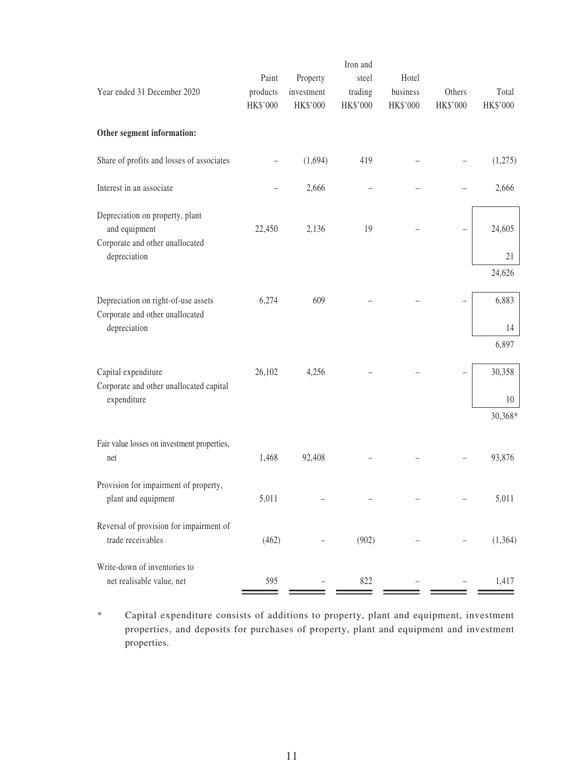| Year ended 31 December 2020                                                            | Paint<br>products<br>HK\$'000 | Property<br>investment<br>HK\$'000 | Iron and<br>steel<br>trading<br>HK\$'000 | Hotel<br>business<br>HK\$'000 | Others<br>HK\$'000 | Total<br>HK\$'000 |
|----------------------------------------------------------------------------------------|-------------------------------|------------------------------------|------------------------------------------|-------------------------------|--------------------|-------------------|
| Other segment information:                                                             |                               |                                    |                                          |                               |                    |                   |
| Share of profits and losses of associates                                              |                               | (1,694)                            | 419                                      |                               |                    | (1,275)           |
| Interest in an associate                                                               |                               | 2,666                              |                                          |                               |                    | 2,666             |
| Depreciation on property, plant<br>and equipment<br>Corporate and other unallocated    | 22,450                        | 2,136                              | 19                                       |                               |                    | 24,605            |
| depreciation                                                                           |                               |                                    |                                          |                               |                    | 21                |
|                                                                                        |                               |                                    |                                          |                               |                    | 24,626            |
| Depreciation on right-of-use assets<br>Corporate and other unallocated<br>depreciation | 6,274                         | 609                                |                                          |                               |                    | 6,883<br>14       |
|                                                                                        |                               |                                    |                                          |                               |                    | 6,897             |
| Capital expenditure<br>Corporate and other unallocated capital<br>expenditure          | 26,102                        | 4,256                              |                                          |                               |                    | 30,358<br>10      |
|                                                                                        |                               |                                    |                                          |                               |                    | 30,368*           |
| Fair value losses on investment properties,<br>net                                     | 1,468                         | 92,408                             |                                          |                               |                    | 93,876            |
| Provision for impairment of property,<br>plant and equipment                           | 5,011                         |                                    |                                          |                               |                    | 5,011             |
| Reversal of provision for impairment of<br>trade receivables                           | (462)                         |                                    | (902)                                    |                               |                    | (1,364)           |
| Write-down of inventories to                                                           |                               |                                    |                                          |                               |                    |                   |
| net realisable value, net                                                              | 595                           |                                    | 822                                      |                               |                    | 1,417             |

\* Capital expenditure consists of additions to property, plant and equipment, investment properties, and deposits for purchases of property, plant and equipment and investment properties.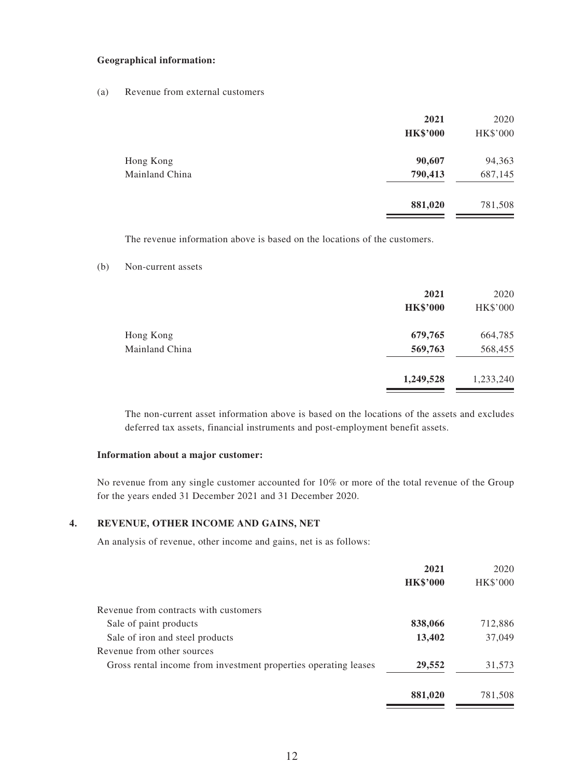#### **Geographical information:**

(a) Revenue from external customers

|                | 2021<br><b>HK\$'000</b> | 2020<br>HK\$'000 |
|----------------|-------------------------|------------------|
| Hong Kong      | 90,607                  | 94,363           |
| Mainland China | 790,413                 | 687,145          |
|                | 881,020                 | 781,508          |

The revenue information above is based on the locations of the customers.

#### (b) Non-current assets

|                             | 2021<br><b>HK\$'000</b> | 2020<br>HK\$'000   |
|-----------------------------|-------------------------|--------------------|
| Hong Kong<br>Mainland China | 679,765<br>569,763      | 664,785<br>568,455 |
|                             | 1,249,528               | 1,233,240          |

The non-current asset information above is based on the locations of the assets and excludes deferred tax assets, financial instruments and post-employment benefit assets.

#### **Information about a major customer:**

No revenue from any single customer accounted for 10% or more of the total revenue of the Group for the years ended 31 December 2021 and 31 December 2020.

#### **4. REVENUE, OTHER INCOME AND GAINS, NET**

An analysis of revenue, other income and gains, net is as follows:

|                                                                 | 2021            | 2020            |
|-----------------------------------------------------------------|-----------------|-----------------|
|                                                                 | <b>HK\$'000</b> | <b>HK\$'000</b> |
| Revenue from contracts with customers                           |                 |                 |
| Sale of paint products                                          | 838,066         | 712,886         |
| Sale of iron and steel products                                 | 13,402          | 37,049          |
| Revenue from other sources                                      |                 |                 |
| Gross rental income from investment properties operating leases | 29,552          | 31,573          |
|                                                                 | 881,020         | 781,508         |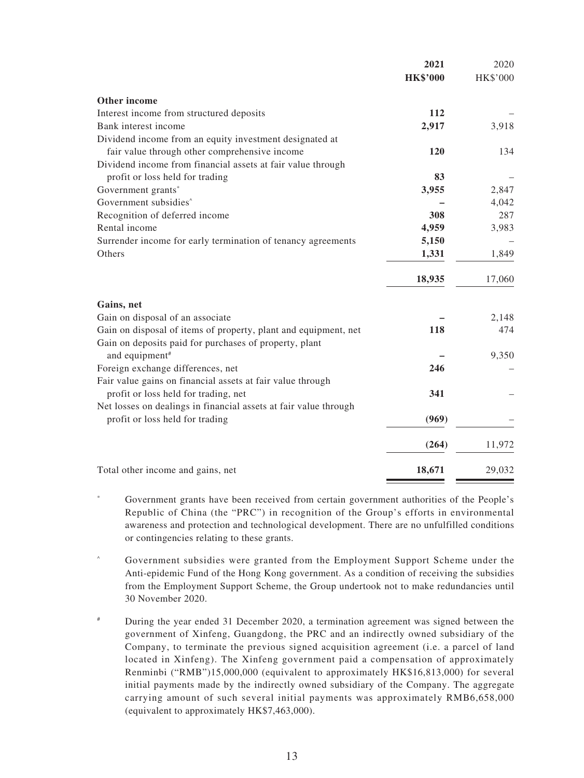|                                                                  | 2021            | 2020     |
|------------------------------------------------------------------|-----------------|----------|
|                                                                  | <b>HK\$'000</b> | HK\$'000 |
| Other income                                                     |                 |          |
| Interest income from structured deposits                         | 112             |          |
| Bank interest income                                             | 2,917           | 3,918    |
| Dividend income from an equity investment designated at          |                 |          |
| fair value through other comprehensive income                    | <b>120</b>      | 134      |
| Dividend income from financial assets at fair value through      |                 |          |
| profit or loss held for trading                                  | 83              |          |
| Government grants*                                               | 3,955           | 2,847    |
| Government subsidies <sup>^</sup>                                |                 | 4,042    |
| Recognition of deferred income                                   | 308             | 287      |
| Rental income                                                    | 4,959           | 3,983    |
| Surrender income for early termination of tenancy agreements     | 5,150           |          |
| Others                                                           | 1,331           | 1,849    |
|                                                                  | 18,935          | 17,060   |
| Gains, net                                                       |                 |          |
| Gain on disposal of an associate                                 |                 | 2,148    |
| Gain on disposal of items of property, plant and equipment, net  | 118             | 474      |
| Gain on deposits paid for purchases of property, plant           |                 |          |
| and equipment <sup>#</sup>                                       |                 | 9,350    |
| Foreign exchange differences, net                                | 246             |          |
| Fair value gains on financial assets at fair value through       |                 |          |
| profit or loss held for trading, net                             | 341             |          |
| Net losses on dealings in financial assets at fair value through |                 |          |
| profit or loss held for trading                                  | (969)           |          |
|                                                                  | (264)           | 11,972   |
| Total other income and gains, net                                | 18,671          | 29,032   |
|                                                                  |                 |          |

- Government grants have been received from certain government authorities of the People's Republic of China (the "PRC") in recognition of the Group's efforts in environmental awareness and protection and technological development. There are no unfulfilled conditions or contingencies relating to these grants.
- ^ Government subsidies were granted from the Employment Support Scheme under the Anti-epidemic Fund of the Hong Kong government. As a condition of receiving the subsidies from the Employment Support Scheme, the Group undertook not to make redundancies until 30 November 2020.
- # During the year ended 31 December 2020, a termination agreement was signed between the government of Xinfeng, Guangdong, the PRC and an indirectly owned subsidiary of the Company, to terminate the previous signed acquisition agreement (i.e. a parcel of land located in Xinfeng). The Xinfeng government paid a compensation of approximately Renminbi ("RMB")15,000,000 (equivalent to approximately HK\$16,813,000) for several initial payments made by the indirectly owned subsidiary of the Company. The aggregate carrying amount of such several initial payments was approximately RMB6,658,000 (equivalent to approximately HK\$7,463,000).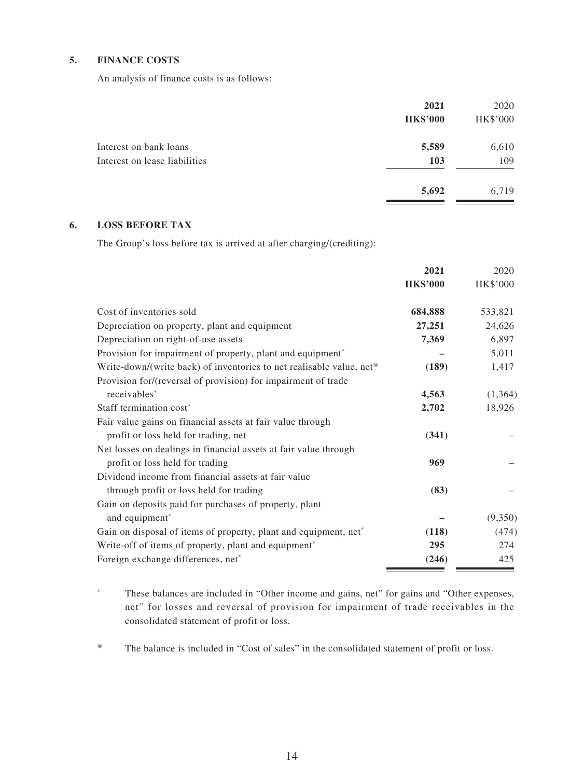#### **5. FINANCE COSTS**

An analysis of finance costs is as follows:

|                                                         | 2021<br><b>HK\$'000</b> | 2020<br>HK\$'000 |
|---------------------------------------------------------|-------------------------|------------------|
| Interest on bank loans<br>Interest on lease liabilities | 5,589<br>103            | 6,610<br>109     |
|                                                         | 5,692                   | 6,719            |

#### **6. LOSS BEFORE TAX**

The Group's loss before tax is arrived at after charging/(crediting):

|                                                                                  | 2021            | 2020     |
|----------------------------------------------------------------------------------|-----------------|----------|
|                                                                                  | <b>HK\$'000</b> | HK\$'000 |
| Cost of inventories sold                                                         | 684,888         | 533,821  |
| Depreciation on property, plant and equipment                                    | 27,251          | 24,626   |
| Depreciation on right-of-use assets                                              | 7,369           | 6,897    |
| Provision for impairment of property, plant and equipment*                       |                 | 5,011    |
| Write-down/(write back) of inventories to net realisable value, net <sup>®</sup> | (189)           | 1,417    |
| Provision for/(reversal of provision) for impairment of trade                    |                 |          |
| receivables*                                                                     | 4,563           | (1, 364) |
| Staff termination cost*                                                          | 2,702           | 18,926   |
| Fair value gains on financial assets at fair value through                       |                 |          |
| profit or loss held for trading, net                                             | (341)           |          |
| Net losses on dealings in financial assets at fair value through                 |                 |          |
| profit or loss held for trading                                                  | 969             |          |
| Dividend income from financial assets at fair value                              |                 |          |
| through profit or loss held for trading                                          | (83)            |          |
| Gain on deposits paid for purchases of property, plant                           |                 |          |
| and equipment <sup>*</sup>                                                       |                 | (9,350)  |
| Gain on disposal of items of property, plant and equipment, net*                 | (118)           | (474)    |
| Write-off of items of property, plant and equipment <sup>*</sup>                 | 295             | 274      |
| Foreign exchange differences, net*                                               | (246)           | 425      |

\* These balances are included in "Other income and gains, net" for gains and "Other expenses, net" for losses and reversal of provision for impairment of trade receivables in the consolidated statement of profit or loss.

@ The balance is included in "Cost of sales" in the consolidated statement of profit or loss.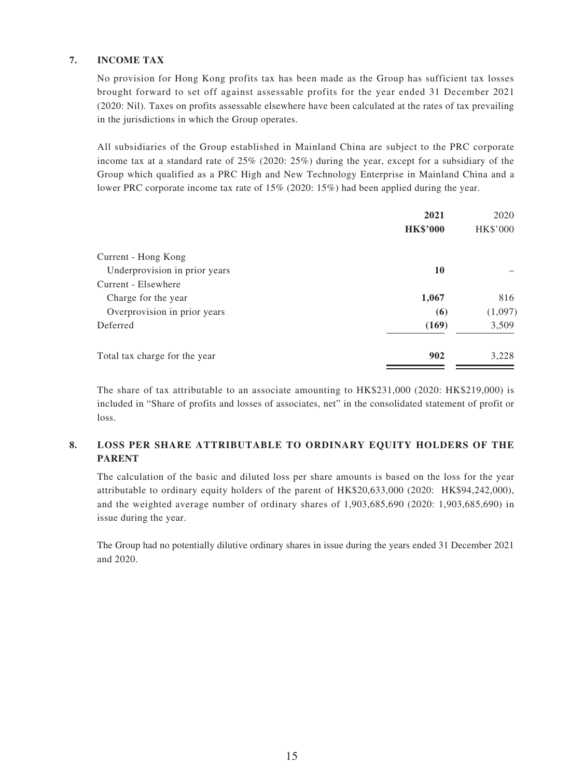#### **7. INCOME TAX**

No provision for Hong Kong profits tax has been made as the Group has sufficient tax losses brought forward to set off against assessable profits for the year ended 31 December 2021 (2020: Nil). Taxes on profits assessable elsewhere have been calculated at the rates of tax prevailing in the jurisdictions in which the Group operates.

All subsidiaries of the Group established in Mainland China are subject to the PRC corporate income tax at a standard rate of 25% (2020: 25%) during the year, except for a subsidiary of the Group which qualified as a PRC High and New Technology Enterprise in Mainland China and a lower PRC corporate income tax rate of 15% (2020: 15%) had been applied during the year.

|                               | 2021            | 2020     |
|-------------------------------|-----------------|----------|
|                               | <b>HK\$'000</b> | HK\$'000 |
| Current - Hong Kong           |                 |          |
| Underprovision in prior years | 10              |          |
| Current - Elsewhere           |                 |          |
| Charge for the year           | 1,067           | 816      |
| Overprovision in prior years  | (6)             | (1,097)  |
| Deferred                      | (169)           | 3,509    |
| Total tax charge for the year | 902             | 3,228    |

The share of tax attributable to an associate amounting to HK\$231,000 (2020: HK\$219,000) is included in "Share of profits and losses of associates, net" in the consolidated statement of profit or loss.

#### **8. LOSS PER SHARE ATTRIBUTABLE TO ORDINARY EQUITY HOLDERS OF THE PARENT**

The calculation of the basic and diluted loss per share amounts is based on the loss for the year attributable to ordinary equity holders of the parent of HK\$20,633,000 (2020: HK\$94,242,000), and the weighted average number of ordinary shares of 1,903,685,690 (2020: 1,903,685,690) in issue during the year.

The Group had no potentially dilutive ordinary shares in issue during the years ended 31 December 2021 and 2020.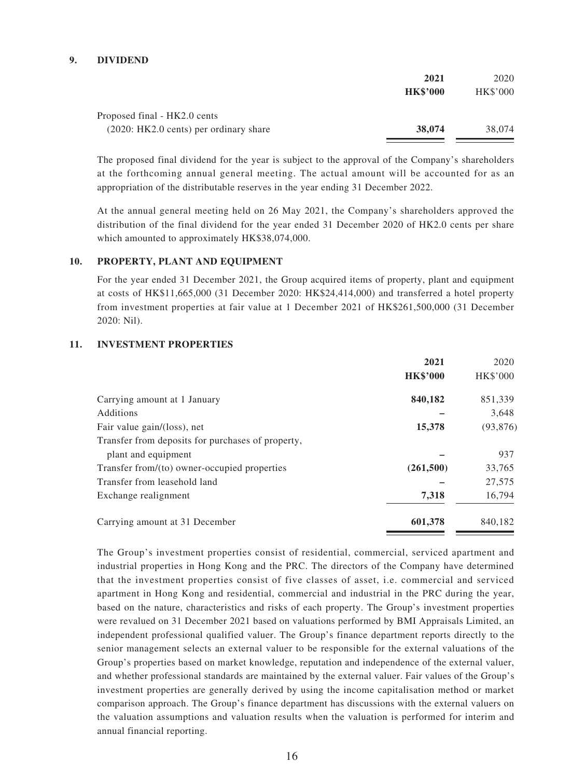#### **9. DIVIDEND**

|                                          | 2021            | 2020            |
|------------------------------------------|-----------------|-----------------|
|                                          | <b>HK\$'000</b> | <b>HK\$'000</b> |
| Proposed final - HK2.0 cents             |                 |                 |
| $(2020:HK2.0;$ cents) per ordinary share | 38,074          | 38,074          |

The proposed final dividend for the year is subject to the approval of the Company's shareholders at the forthcoming annual general meeting. The actual amount will be accounted for as an appropriation of the distributable reserves in the year ending 31 December 2022.

At the annual general meeting held on 26 May 2021, the Company's shareholders approved the distribution of the final dividend for the year ended 31 December 2020 of HK2.0 cents per share which amounted to approximately HK\$38,074,000.

#### **10. PROPERTY, PLANT AND EQUIPMENT**

For the year ended 31 December 2021, the Group acquired items of property, plant and equipment at costs of HK\$11,665,000 (31 December 2020: HK\$24,414,000) and transferred a hotel property from investment properties at fair value at 1 December 2021 of HK\$261,500,000 (31 December 2020: Nil).

#### **11. INVESTMENT PROPERTIES**

|                                                   | 2021            | 2020      |
|---------------------------------------------------|-----------------|-----------|
|                                                   | <b>HK\$'000</b> | HK\$'000  |
| Carrying amount at 1 January                      | 840,182         | 851,339   |
| Additions                                         |                 | 3,648     |
| Fair value gain/(loss), net                       | 15,378          | (93, 876) |
| Transfer from deposits for purchases of property, |                 |           |
| plant and equipment                               |                 | 937       |
| Transfer from/(to) owner-occupied properties      | (261, 500)      | 33,765    |
| Transfer from leasehold land                      |                 | 27,575    |
| Exchange realignment                              | 7,318           | 16,794    |
| Carrying amount at 31 December                    | 601,378         | 840,182   |

The Group's investment properties consist of residential, commercial, serviced apartment and industrial properties in Hong Kong and the PRC. The directors of the Company have determined that the investment properties consist of five classes of asset, i.e. commercial and serviced apartment in Hong Kong and residential, commercial and industrial in the PRC during the year, based on the nature, characteristics and risks of each property. The Group's investment properties were revalued on 31 December 2021 based on valuations performed by BMI Appraisals Limited, an independent professional qualified valuer. The Group's finance department reports directly to the senior management selects an external valuer to be responsible for the external valuations of the Group's properties based on market knowledge, reputation and independence of the external valuer, and whether professional standards are maintained by the external valuer. Fair values of the Group's investment properties are generally derived by using the income capitalisation method or market comparison approach. The Group's finance department has discussions with the external valuers on the valuation assumptions and valuation results when the valuation is performed for interim and annual financial reporting.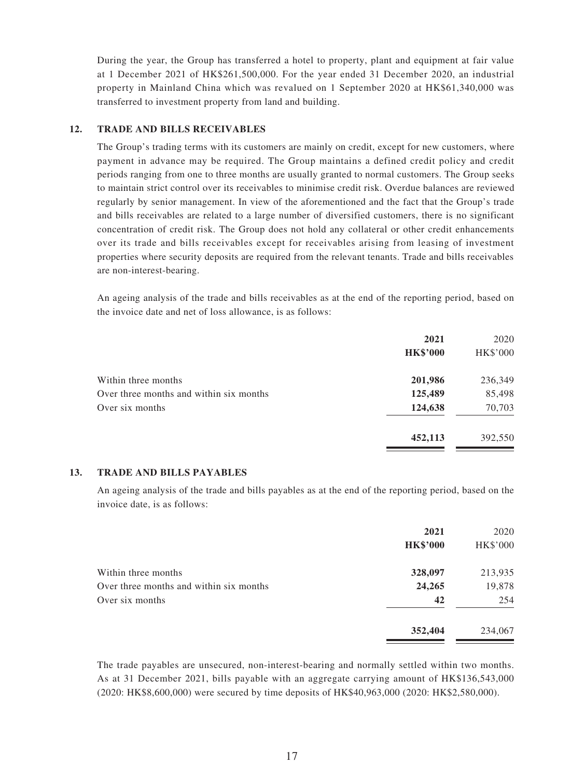During the year, the Group has transferred a hotel to property, plant and equipment at fair value at 1 December 2021 of HK\$261,500,000. For the year ended 31 December 2020, an industrial property in Mainland China which was revalued on 1 September 2020 at HK\$61,340,000 was transferred to investment property from land and building.

#### **12. TRADE AND BILLS RECEIVABLES**

The Group's trading terms with its customers are mainly on credit, except for new customers, where payment in advance may be required. The Group maintains a defined credit policy and credit periods ranging from one to three months are usually granted to normal customers. The Group seeks to maintain strict control over its receivables to minimise credit risk. Overdue balances are reviewed regularly by senior management. In view of the aforementioned and the fact that the Group's trade and bills receivables are related to a large number of diversified customers, there is no significant concentration of credit risk. The Group does not hold any collateral or other credit enhancements over its trade and bills receivables except for receivables arising from leasing of investment properties where security deposits are required from the relevant tenants. Trade and bills receivables are non-interest-bearing.

An ageing analysis of the trade and bills receivables as at the end of the reporting period, based on the invoice date and net of loss allowance, is as follows:

|                                         | 2021            | 2020            |
|-----------------------------------------|-----------------|-----------------|
|                                         | <b>HK\$'000</b> | <b>HK\$'000</b> |
| Within three months                     | 201,986         | 236,349         |
| Over three months and within six months | 125,489         | 85,498          |
| Over six months                         | 124,638         | 70,703          |
|                                         | 452,113         | 392,550         |

#### **13. TRADE AND BILLS PAYABLES**

An ageing analysis of the trade and bills payables as at the end of the reporting period, based on the invoice date, is as follows:

|                                         | 2021            | 2020            |
|-----------------------------------------|-----------------|-----------------|
|                                         | <b>HK\$'000</b> | <b>HK\$'000</b> |
| Within three months                     | 328,097         | 213,935         |
| Over three months and within six months | 24,265          | 19,878          |
| Over six months                         | 42              | 254             |
|                                         | 352,404         | 234,067         |

The trade payables are unsecured, non-interest-bearing and normally settled within two months. As at 31 December 2021, bills payable with an aggregate carrying amount of HK\$136,543,000 (2020: HK\$8,600,000) were secured by time deposits of HK\$40,963,000 (2020: HK\$2,580,000).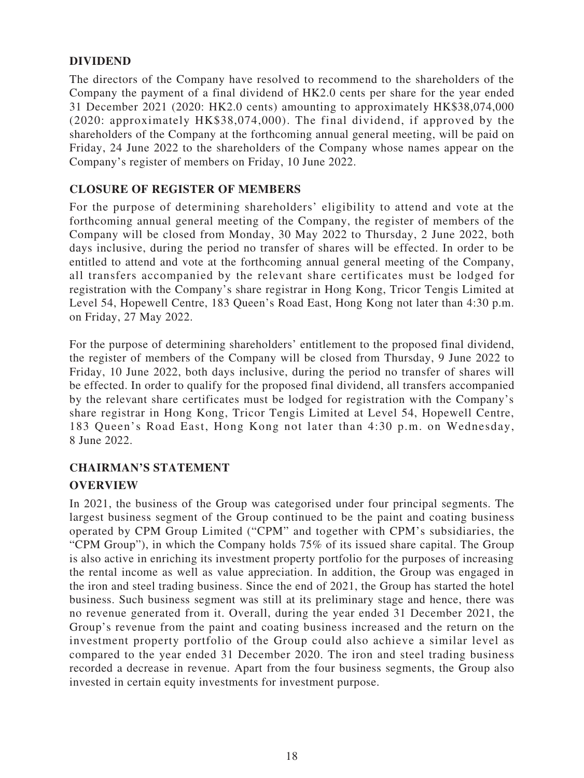# **DIVIDEND**

The directors of the Company have resolved to recommend to the shareholders of the Company the payment of a final dividend of HK2.0 cents per share for the year ended 31 December 2021 (2020: HK2.0 cents) amounting to approximately HK\$38,074,000 (2020: approximately HK\$38,074,000). The final dividend, if approved by the shareholders of the Company at the forthcoming annual general meeting, will be paid on Friday, 24 June 2022 to the shareholders of the Company whose names appear on the Company's register of members on Friday, 10 June 2022.

# **CLOSURE OF REGISTER OF MEMBERS**

For the purpose of determining shareholders' eligibility to attend and vote at the forthcoming annual general meeting of the Company, the register of members of the Company will be closed from Monday, 30 May 2022 to Thursday, 2 June 2022, both days inclusive, during the period no transfer of shares will be effected. In order to be entitled to attend and vote at the forthcoming annual general meeting of the Company, all transfers accompanied by the relevant share certificates must be lodged for registration with the Company's share registrar in Hong Kong, Tricor Tengis Limited at Level 54, Hopewell Centre, 183 Queen's Road East, Hong Kong not later than 4:30 p.m. on Friday, 27 May 2022.

For the purpose of determining shareholders' entitlement to the proposed final dividend, the register of members of the Company will be closed from Thursday, 9 June 2022 to Friday, 10 June 2022, both days inclusive, during the period no transfer of shares will be effected. In order to qualify for the proposed final dividend, all transfers accompanied by the relevant share certificates must be lodged for registration with the Company's share registrar in Hong Kong, Tricor Tengis Limited at Level 54, Hopewell Centre, 183 Queen's Road East, Hong Kong not later than 4:30 p.m. on Wednesday, 8 June 2022.

# **CHAIRMAN'S STATEMENT OVERVIEW**

In 2021, the business of the Group was categorised under four principal segments. The largest business segment of the Group continued to be the paint and coating business operated by CPM Group Limited ("CPM" and together with CPM's subsidiaries, the "CPM Group"), in which the Company holds 75% of its issued share capital. The Group is also active in enriching its investment property portfolio for the purposes of increasing the rental income as well as value appreciation. In addition, the Group was engaged in the iron and steel trading business. Since the end of 2021, the Group has started the hotel business. Such business segment was still at its preliminary stage and hence, there was no revenue generated from it. Overall, during the year ended 31 December 2021, the Group's revenue from the paint and coating business increased and the return on the investment property portfolio of the Group could also achieve a similar level as compared to the year ended 31 December 2020. The iron and steel trading business recorded a decrease in revenue. Apart from the four business segments, the Group also invested in certain equity investments for investment purpose.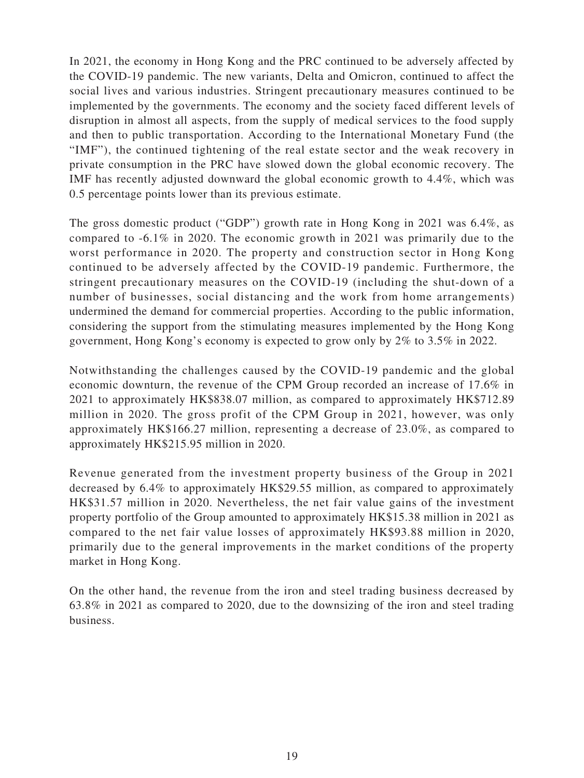In 2021, the economy in Hong Kong and the PRC continued to be adversely affected by the COVID-19 pandemic. The new variants, Delta and Omicron, continued to affect the social lives and various industries. Stringent precautionary measures continued to be implemented by the governments. The economy and the society faced different levels of disruption in almost all aspects, from the supply of medical services to the food supply and then to public transportation. According to the International Monetary Fund (the "IMF"), the continued tightening of the real estate sector and the weak recovery in private consumption in the PRC have slowed down the global economic recovery. The IMF has recently adjusted downward the global economic growth to 4.4%, which was 0.5 percentage points lower than its previous estimate.

The gross domestic product ("GDP") growth rate in Hong Kong in 2021 was 6.4%, as compared to -6.1% in 2020. The economic growth in 2021 was primarily due to the worst performance in 2020. The property and construction sector in Hong Kong continued to be adversely affected by the COVID-19 pandemic. Furthermore, the stringent precautionary measures on the COVID-19 (including the shut-down of a number of businesses, social distancing and the work from home arrangements) undermined the demand for commercial properties. According to the public information, considering the support from the stimulating measures implemented by the Hong Kong government, Hong Kong's economy is expected to grow only by 2% to 3.5% in 2022.

Notwithstanding the challenges caused by the COVID-19 pandemic and the global economic downturn, the revenue of the CPM Group recorded an increase of 17.6% in 2021 to approximately HK\$838.07 million, as compared to approximately HK\$712.89 million in 2020. The gross profit of the CPM Group in 2021, however, was only approximately HK\$166.27 million, representing a decrease of 23.0%, as compared to approximately HK\$215.95 million in 2020.

Revenue generated from the investment property business of the Group in 2021 decreased by 6.4% to approximately HK\$29.55 million, as compared to approximately HK\$31.57 million in 2020. Nevertheless, the net fair value gains of the investment property portfolio of the Group amounted to approximately HK\$15.38 million in 2021 as compared to the net fair value losses of approximately HK\$93.88 million in 2020, primarily due to the general improvements in the market conditions of the property market in Hong Kong.

On the other hand, the revenue from the iron and steel trading business decreased by 63.8% in 2021 as compared to 2020, due to the downsizing of the iron and steel trading business.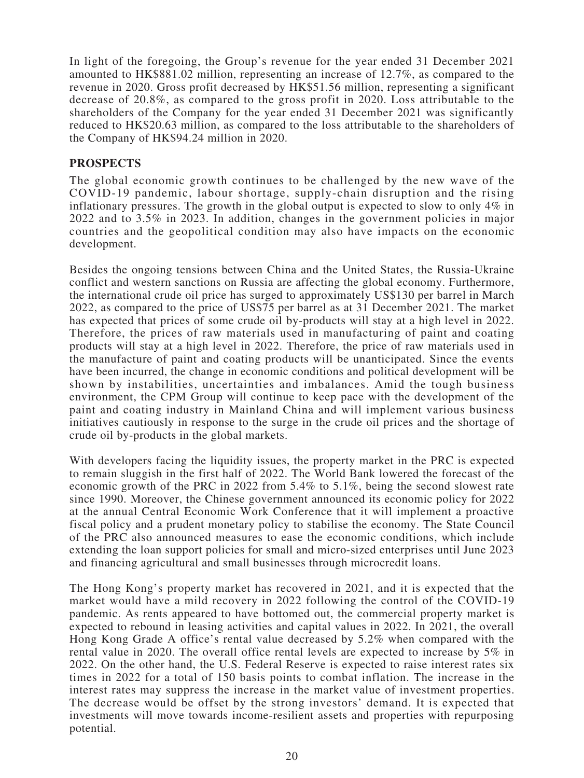In light of the foregoing, the Group's revenue for the year ended 31 December 2021 amounted to HK\$881.02 million, representing an increase of 12.7%, as compared to the revenue in 2020. Gross profit decreased by HK\$51.56 million, representing a significant decrease of 20.8%, as compared to the gross profit in 2020. Loss attributable to the shareholders of the Company for the year ended 31 December 2021 was significantly reduced to HK\$20.63 million, as compared to the loss attributable to the shareholders of the Company of HK\$94.24 million in 2020.

## **PROSPECTS**

The global economic growth continues to be challenged by the new wave of the COVID-19 pandemic, labour shortage, supply-chain disruption and the rising inflationary pressures. The growth in the global output is expected to slow to only 4% in 2022 and to 3.5% in 2023. In addition, changes in the government policies in major countries and the geopolitical condition may also have impacts on the economic development.

Besides the ongoing tensions between China and the United States, the Russia-Ukraine conflict and western sanctions on Russia are affecting the global economy. Furthermore, the international crude oil price has surged to approximately US\$130 per barrel in March 2022, as compared to the price of US\$75 per barrel as at 31 December 2021. The market has expected that prices of some crude oil by-products will stay at a high level in 2022. Therefore, the prices of raw materials used in manufacturing of paint and coating products will stay at a high level in 2022. Therefore, the price of raw materials used in the manufacture of paint and coating products will be unanticipated. Since the events have been incurred, the change in economic conditions and political development will be shown by instabilities, uncertainties and imbalances. Amid the tough business environment, the CPM Group will continue to keep pace with the development of the paint and coating industry in Mainland China and will implement various business initiatives cautiously in response to the surge in the crude oil prices and the shortage of crude oil by-products in the global markets.

With developers facing the liquidity issues, the property market in the PRC is expected to remain sluggish in the first half of 2022. The World Bank lowered the forecast of the economic growth of the PRC in 2022 from 5.4% to 5.1%, being the second slowest rate since 1990. Moreover, the Chinese government announced its economic policy for 2022 at the annual Central Economic Work Conference that it will implement a proactive fiscal policy and a prudent monetary policy to stabilise the economy. The State Council of the PRC also announced measures to ease the economic conditions, which include extending the loan support policies for small and micro-sized enterprises until June 2023 and financing agricultural and small businesses through microcredit loans.

The Hong Kong's property market has recovered in 2021, and it is expected that the market would have a mild recovery in 2022 following the control of the COVID-19 pandemic. As rents appeared to have bottomed out, the commercial property market is expected to rebound in leasing activities and capital values in 2022. In 2021, the overall Hong Kong Grade A office's rental value decreased by 5.2% when compared with the rental value in 2020. The overall office rental levels are expected to increase by 5% in 2022. On the other hand, the U.S. Federal Reserve is expected to raise interest rates six times in 2022 for a total of 150 basis points to combat inflation. The increase in the interest rates may suppress the increase in the market value of investment properties. The decrease would be offset by the strong investors' demand. It is expected that investments will move towards income-resilient assets and properties with repurposing potential.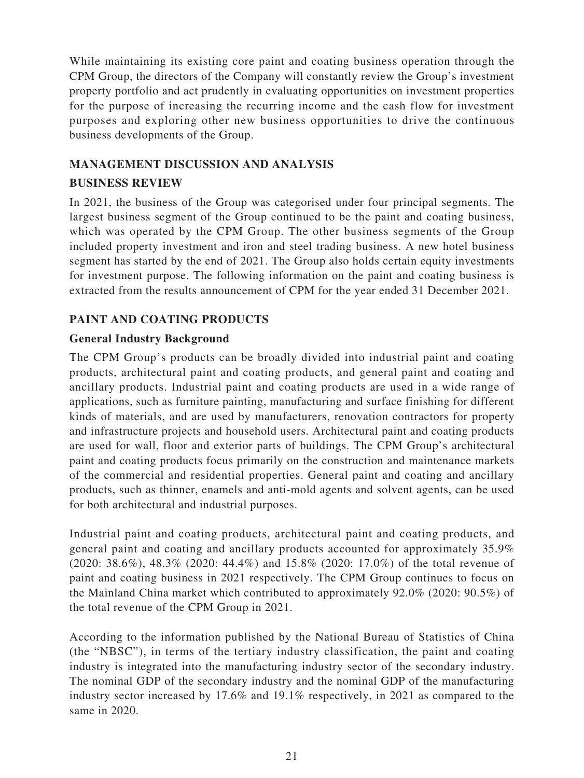While maintaining its existing core paint and coating business operation through the CPM Group, the directors of the Company will constantly review the Group's investment property portfolio and act prudently in evaluating opportunities on investment properties for the purpose of increasing the recurring income and the cash flow for investment purposes and exploring other new business opportunities to drive the continuous business developments of the Group.

# **MANAGEMENT DISCUSSION AND ANALYSIS**

## **BUSINESS REVIEW**

In 2021, the business of the Group was categorised under four principal segments. The largest business segment of the Group continued to be the paint and coating business, which was operated by the CPM Group. The other business segments of the Group included property investment and iron and steel trading business. A new hotel business segment has started by the end of 2021. The Group also holds certain equity investments for investment purpose. The following information on the paint and coating business is extracted from the results announcement of CPM for the year ended 31 December 2021.

# **PAINT AND COATING PRODUCTS**

# **General Industry Background**

The CPM Group's products can be broadly divided into industrial paint and coating products, architectural paint and coating products, and general paint and coating and ancillary products. Industrial paint and coating products are used in a wide range of applications, such as furniture painting, manufacturing and surface finishing for different kinds of materials, and are used by manufacturers, renovation contractors for property and infrastructure projects and household users. Architectural paint and coating products are used for wall, floor and exterior parts of buildings. The CPM Group's architectural paint and coating products focus primarily on the construction and maintenance markets of the commercial and residential properties. General paint and coating and ancillary products, such as thinner, enamels and anti-mold agents and solvent agents, can be used for both architectural and industrial purposes.

Industrial paint and coating products, architectural paint and coating products, and general paint and coating and ancillary products accounted for approximately 35.9% (2020: 38.6%), 48.3% (2020: 44.4%) and 15.8% (2020: 17.0%) of the total revenue of paint and coating business in 2021 respectively. The CPM Group continues to focus on the Mainland China market which contributed to approximately 92.0% (2020: 90.5%) of the total revenue of the CPM Group in 2021.

According to the information published by the National Bureau of Statistics of China (the "NBSC"), in terms of the tertiary industry classification, the paint and coating industry is integrated into the manufacturing industry sector of the secondary industry. The nominal GDP of the secondary industry and the nominal GDP of the manufacturing industry sector increased by 17.6% and 19.1% respectively, in 2021 as compared to the same in 2020.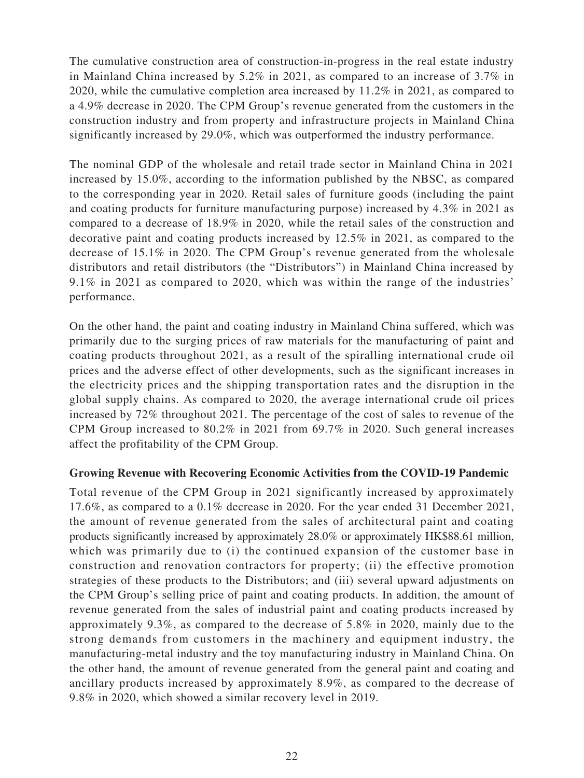The cumulative construction area of construction-in-progress in the real estate industry in Mainland China increased by 5.2% in 2021, as compared to an increase of 3.7% in 2020, while the cumulative completion area increased by 11.2% in 2021, as compared to a 4.9% decrease in 2020. The CPM Group's revenue generated from the customers in the construction industry and from property and infrastructure projects in Mainland China significantly increased by 29.0%, which was outperformed the industry performance.

The nominal GDP of the wholesale and retail trade sector in Mainland China in 2021 increased by 15.0%, according to the information published by the NBSC, as compared to the corresponding year in 2020. Retail sales of furniture goods (including the paint and coating products for furniture manufacturing purpose) increased by 4.3% in 2021 as compared to a decrease of 18.9% in 2020, while the retail sales of the construction and decorative paint and coating products increased by 12.5% in 2021, as compared to the decrease of 15.1% in 2020. The CPM Group's revenue generated from the wholesale distributors and retail distributors (the "Distributors") in Mainland China increased by 9.1% in 2021 as compared to 2020, which was within the range of the industries' performance.

On the other hand, the paint and coating industry in Mainland China suffered, which was primarily due to the surging prices of raw materials for the manufacturing of paint and coating products throughout 2021, as a result of the spiralling international crude oil prices and the adverse effect of other developments, such as the significant increases in the electricity prices and the shipping transportation rates and the disruption in the global supply chains. As compared to 2020, the average international crude oil prices increased by 72% throughout 2021. The percentage of the cost of sales to revenue of the CPM Group increased to 80.2% in 2021 from 69.7% in 2020. Such general increases affect the profitability of the CPM Group.

## **Growing Revenue with Recovering Economic Activities from the COVID-19 Pandemic**

Total revenue of the CPM Group in 2021 significantly increased by approximately 17.6%, as compared to a 0.1% decrease in 2020. For the year ended 31 December 2021, the amount of revenue generated from the sales of architectural paint and coating products significantly increased by approximately 28.0% or approximately HK\$88.61 million, which was primarily due to (i) the continued expansion of the customer base in construction and renovation contractors for property; (ii) the effective promotion strategies of these products to the Distributors; and (iii) several upward adjustments on the CPM Group's selling price of paint and coating products. In addition, the amount of revenue generated from the sales of industrial paint and coating products increased by approximately 9.3%, as compared to the decrease of 5.8% in 2020, mainly due to the strong demands from customers in the machinery and equipment industry, the manufacturing-metal industry and the toy manufacturing industry in Mainland China. On the other hand, the amount of revenue generated from the general paint and coating and ancillary products increased by approximately 8.9%, as compared to the decrease of 9.8% in 2020, which showed a similar recovery level in 2019.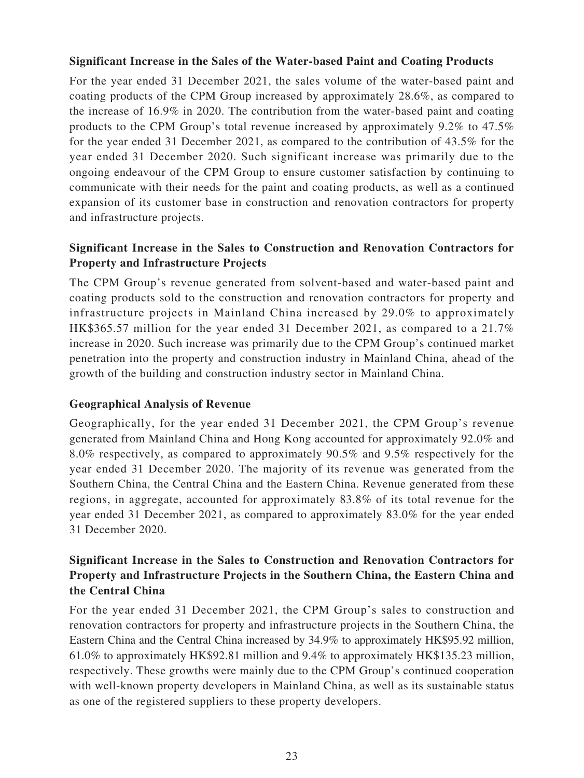#### **Significant Increase in the Sales of the Water-based Paint and Coating Products**

For the year ended 31 December 2021, the sales volume of the water-based paint and coating products of the CPM Group increased by approximately 28.6%, as compared to the increase of 16.9% in 2020. The contribution from the water-based paint and coating products to the CPM Group's total revenue increased by approximately 9.2% to 47.5% for the year ended 31 December 2021, as compared to the contribution of 43.5% for the year ended 31 December 2020. Such significant increase was primarily due to the ongoing endeavour of the CPM Group to ensure customer satisfaction by continuing to communicate with their needs for the paint and coating products, as well as a continued expansion of its customer base in construction and renovation contractors for property and infrastructure projects.

# **Significant Increase in the Sales to Construction and Renovation Contractors for Property and Infrastructure Projects**

The CPM Group's revenue generated from solvent-based and water-based paint and coating products sold to the construction and renovation contractors for property and infrastructure projects in Mainland China increased by 29.0% to approximately HK\$365.57 million for the year ended 31 December 2021, as compared to a 21.7% increase in 2020. Such increase was primarily due to the CPM Group's continued market penetration into the property and construction industry in Mainland China, ahead of the growth of the building and construction industry sector in Mainland China.

## **Geographical Analysis of Revenue**

Geographically, for the year ended 31 December 2021, the CPM Group's revenue generated from Mainland China and Hong Kong accounted for approximately 92.0% and 8.0% respectively, as compared to approximately 90.5% and 9.5% respectively for the year ended 31 December 2020. The majority of its revenue was generated from the Southern China, the Central China and the Eastern China. Revenue generated from these regions, in aggregate, accounted for approximately 83.8% of its total revenue for the year ended 31 December 2021, as compared to approximately 83.0% for the year ended 31 December 2020.

# **Significant Increase in the Sales to Construction and Renovation Contractors for Property and Infrastructure Projects in the Southern China, the Eastern China and the Central China**

For the year ended 31 December 2021, the CPM Group's sales to construction and renovation contractors for property and infrastructure projects in the Southern China, the Eastern China and the Central China increased by 34.9% to approximately HK\$95.92 million, 61.0% to approximately HK\$92.81 million and 9.4% to approximately HK\$135.23 million, respectively. These growths were mainly due to the CPM Group's continued cooperation with well-known property developers in Mainland China, as well as its sustainable status as one of the registered suppliers to these property developers.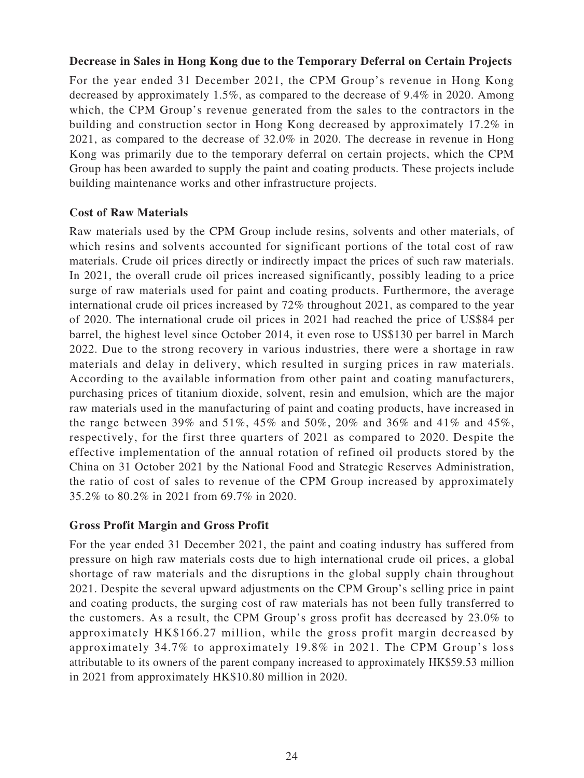#### **Decrease in Sales in Hong Kong due to the Temporary Deferral on Certain Projects**

For the year ended 31 December 2021, the CPM Group's revenue in Hong Kong decreased by approximately 1.5%, as compared to the decrease of 9.4% in 2020. Among which, the CPM Group's revenue generated from the sales to the contractors in the building and construction sector in Hong Kong decreased by approximately 17.2% in 2021, as compared to the decrease of 32.0% in 2020. The decrease in revenue in Hong Kong was primarily due to the temporary deferral on certain projects, which the CPM Group has been awarded to supply the paint and coating products. These projects include building maintenance works and other infrastructure projects.

## **Cost of Raw Materials**

Raw materials used by the CPM Group include resins, solvents and other materials, of which resins and solvents accounted for significant portions of the total cost of raw materials. Crude oil prices directly or indirectly impact the prices of such raw materials. In 2021, the overall crude oil prices increased significantly, possibly leading to a price surge of raw materials used for paint and coating products. Furthermore, the average international crude oil prices increased by 72% throughout 2021, as compared to the year of 2020. The international crude oil prices in 2021 had reached the price of US\$84 per barrel, the highest level since October 2014, it even rose to US\$130 per barrel in March 2022. Due to the strong recovery in various industries, there were a shortage in raw materials and delay in delivery, which resulted in surging prices in raw materials. According to the available information from other paint and coating manufacturers, purchasing prices of titanium dioxide, solvent, resin and emulsion, which are the major raw materials used in the manufacturing of paint and coating products, have increased in the range between 39% and 51%, 45% and 50%, 20% and 36% and 41% and 45%, respectively, for the first three quarters of 2021 as compared to 2020. Despite the effective implementation of the annual rotation of refined oil products stored by the China on 31 October 2021 by the National Food and Strategic Reserves Administration, the ratio of cost of sales to revenue of the CPM Group increased by approximately 35.2% to 80.2% in 2021 from 69.7% in 2020.

## **Gross Profit Margin and Gross Profit**

For the year ended 31 December 2021, the paint and coating industry has suffered from pressure on high raw materials costs due to high international crude oil prices, a global shortage of raw materials and the disruptions in the global supply chain throughout 2021. Despite the several upward adjustments on the CPM Group's selling price in paint and coating products, the surging cost of raw materials has not been fully transferred to the customers. As a result, the CPM Group's gross profit has decreased by 23.0% to approximately HK\$166.27 million, while the gross profit margin decreased by approximately 34.7% to approximately 19.8% in 2021. The CPM Group's loss attributable to its owners of the parent company increased to approximately HK\$59.53 million in 2021 from approximately HK\$10.80 million in 2020.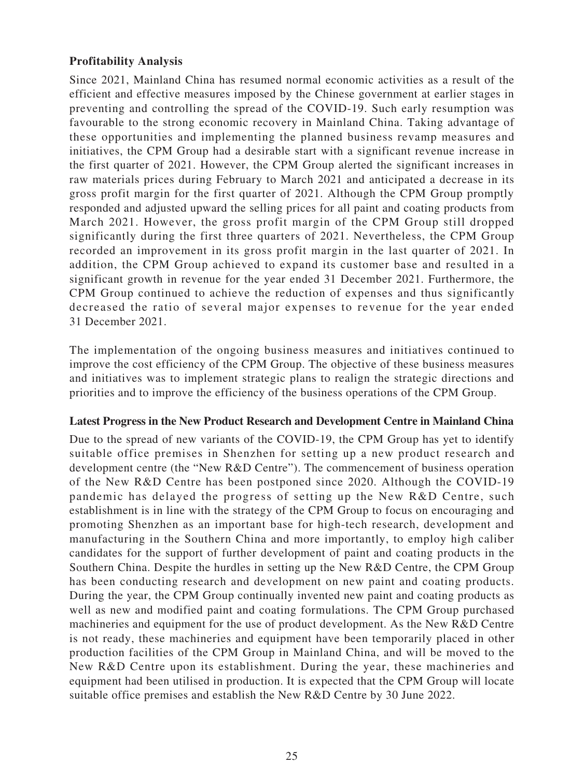## **Profitability Analysis**

Since 2021, Mainland China has resumed normal economic activities as a result of the efficient and effective measures imposed by the Chinese government at earlier stages in preventing and controlling the spread of the COVID-19. Such early resumption was favourable to the strong economic recovery in Mainland China. Taking advantage of these opportunities and implementing the planned business revamp measures and initiatives, the CPM Group had a desirable start with a significant revenue increase in the first quarter of 2021. However, the CPM Group alerted the significant increases in raw materials prices during February to March 2021 and anticipated a decrease in its gross profit margin for the first quarter of 2021. Although the CPM Group promptly responded and adjusted upward the selling prices for all paint and coating products from March 2021. However, the gross profit margin of the CPM Group still dropped significantly during the first three quarters of 2021. Nevertheless, the CPM Group recorded an improvement in its gross profit margin in the last quarter of 2021. In addition, the CPM Group achieved to expand its customer base and resulted in a significant growth in revenue for the year ended 31 December 2021. Furthermore, the CPM Group continued to achieve the reduction of expenses and thus significantly decreased the ratio of several major expenses to revenue for the year ended 31 December 2021.

The implementation of the ongoing business measures and initiatives continued to improve the cost efficiency of the CPM Group. The objective of these business measures and initiatives was to implement strategic plans to realign the strategic directions and priorities and to improve the efficiency of the business operations of the CPM Group.

#### **Latest Progress in the New Product Research and Development Centre in Mainland China**

Due to the spread of new variants of the COVID-19, the CPM Group has yet to identify suitable office premises in Shenzhen for setting up a new product research and development centre (the "New R&D Centre"). The commencement of business operation of the New R&D Centre has been postponed since 2020. Although the COVID-19 pandemic has delayed the progress of setting up the New R&D Centre, such establishment is in line with the strategy of the CPM Group to focus on encouraging and promoting Shenzhen as an important base for high-tech research, development and manufacturing in the Southern China and more importantly, to employ high caliber candidates for the support of further development of paint and coating products in the Southern China. Despite the hurdles in setting up the New R&D Centre, the CPM Group has been conducting research and development on new paint and coating products. During the year, the CPM Group continually invented new paint and coating products as well as new and modified paint and coating formulations. The CPM Group purchased machineries and equipment for the use of product development. As the New R&D Centre is not ready, these machineries and equipment have been temporarily placed in other production facilities of the CPM Group in Mainland China, and will be moved to the New R&D Centre upon its establishment. During the year, these machineries and equipment had been utilised in production. It is expected that the CPM Group will locate suitable office premises and establish the New R&D Centre by 30 June 2022.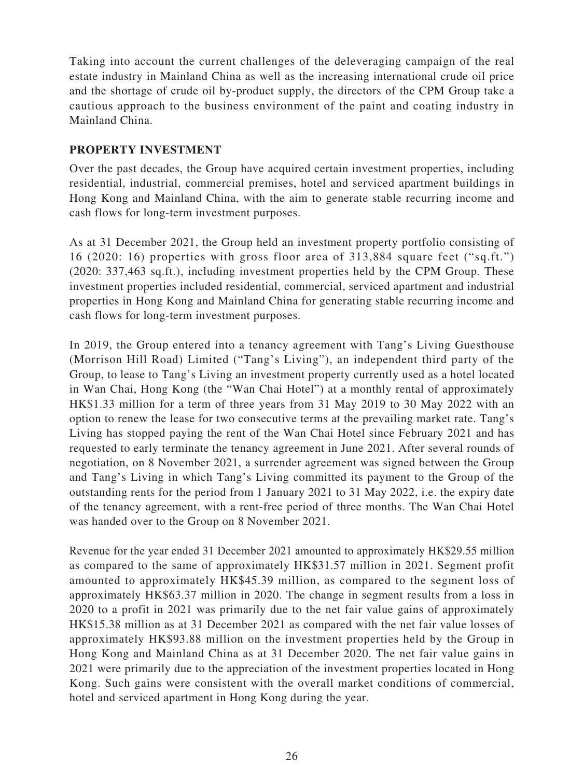Taking into account the current challenges of the deleveraging campaign of the real estate industry in Mainland China as well as the increasing international crude oil price and the shortage of crude oil by-product supply, the directors of the CPM Group take a cautious approach to the business environment of the paint and coating industry in Mainland China.

# **PROPERTY INVESTMENT**

Over the past decades, the Group have acquired certain investment properties, including residential, industrial, commercial premises, hotel and serviced apartment buildings in Hong Kong and Mainland China, with the aim to generate stable recurring income and cash flows for long-term investment purposes.

As at 31 December 2021, the Group held an investment property portfolio consisting of 16 (2020: 16) properties with gross floor area of 313,884 square feet ("sq.ft.") (2020: 337,463 sq.ft.), including investment properties held by the CPM Group. These investment properties included residential, commercial, serviced apartment and industrial properties in Hong Kong and Mainland China for generating stable recurring income and cash flows for long-term investment purposes.

In 2019, the Group entered into a tenancy agreement with Tang's Living Guesthouse (Morrison Hill Road) Limited ("Tang's Living"), an independent third party of the Group, to lease to Tang's Living an investment property currently used as a hotel located in Wan Chai, Hong Kong (the "Wan Chai Hotel") at a monthly rental of approximately HK\$1.33 million for a term of three years from 31 May 2019 to 30 May 2022 with an option to renew the lease for two consecutive terms at the prevailing market rate. Tang's Living has stopped paying the rent of the Wan Chai Hotel since February 2021 and has requested to early terminate the tenancy agreement in June 2021. After several rounds of negotiation, on 8 November 2021, a surrender agreement was signed between the Group and Tang's Living in which Tang's Living committed its payment to the Group of the outstanding rents for the period from 1 January 2021 to 31 May 2022, i.e. the expiry date of the tenancy agreement, with a rent-free period of three months. The Wan Chai Hotel was handed over to the Group on 8 November 2021.

Revenue for the year ended 31 December 2021 amounted to approximately HK\$29.55 million as compared to the same of approximately HK\$31.57 million in 2021. Segment profit amounted to approximately HK\$45.39 million, as compared to the segment loss of approximately HK\$63.37 million in 2020. The change in segment results from a loss in 2020 to a profit in 2021 was primarily due to the net fair value gains of approximately HK\$15.38 million as at 31 December 2021 as compared with the net fair value losses of approximately HK\$93.88 million on the investment properties held by the Group in Hong Kong and Mainland China as at 31 December 2020. The net fair value gains in 2021 were primarily due to the appreciation of the investment properties located in Hong Kong. Such gains were consistent with the overall market conditions of commercial, hotel and serviced apartment in Hong Kong during the year.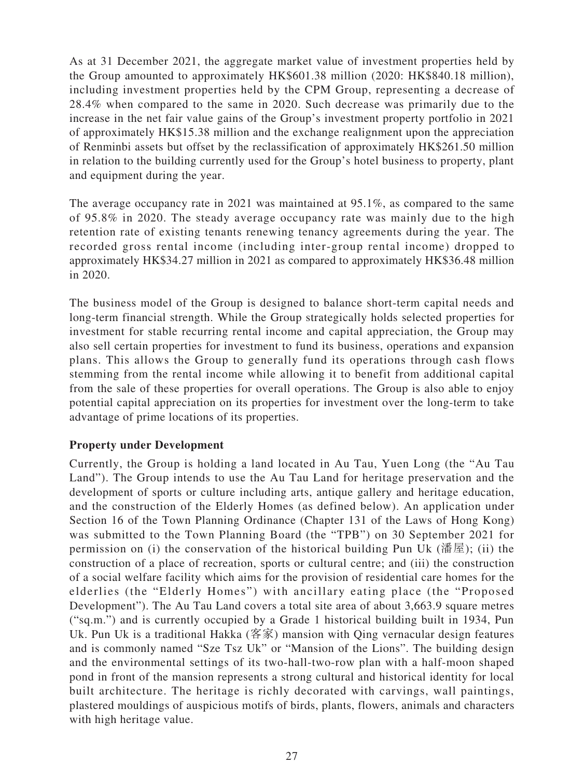As at 31 December 2021, the aggregate market value of investment properties held by the Group amounted to approximately HK\$601.38 million (2020: HK\$840.18 million), including investment properties held by the CPM Group, representing a decrease of 28.4% when compared to the same in 2020. Such decrease was primarily due to the increase in the net fair value gains of the Group's investment property portfolio in 2021 of approximately HK\$15.38 million and the exchange realignment upon the appreciation of Renminbi assets but offset by the reclassification of approximately HK\$261.50 million in relation to the building currently used for the Group's hotel business to property, plant and equipment during the year.

The average occupancy rate in 2021 was maintained at 95.1%, as compared to the same of 95.8% in 2020. The steady average occupancy rate was mainly due to the high retention rate of existing tenants renewing tenancy agreements during the year. The recorded gross rental income (including inter-group rental income) dropped to approximately HK\$34.27 million in 2021 as compared to approximately HK\$36.48 million in 2020.

The business model of the Group is designed to balance short-term capital needs and long-term financial strength. While the Group strategically holds selected properties for investment for stable recurring rental income and capital appreciation, the Group may also sell certain properties for investment to fund its business, operations and expansion plans. This allows the Group to generally fund its operations through cash flows stemming from the rental income while allowing it to benefit from additional capital from the sale of these properties for overall operations. The Group is also able to enjoy potential capital appreciation on its properties for investment over the long-term to take advantage of prime locations of its properties.

## **Property under Development**

Currently, the Group is holding a land located in Au Tau, Yuen Long (the "Au Tau Land"). The Group intends to use the Au Tau Land for heritage preservation and the development of sports or culture including arts, antique gallery and heritage education, and the construction of the Elderly Homes (as defined below). An application under Section 16 of the Town Planning Ordinance (Chapter 131 of the Laws of Hong Kong) was submitted to the Town Planning Board (the "TPB") on 30 September 2021 for permission on (i) the conservation of the historical building Pun Uk (潘屋); (ii) the construction of a place of recreation, sports or cultural centre; and (iii) the construction of a social welfare facility which aims for the provision of residential care homes for the elderlies (the "Elderly Homes") with ancillary eating place (the "Proposed Development"). The Au Tau Land covers a total site area of about 3,663.9 square metres ("sq.m.") and is currently occupied by a Grade 1 historical building built in 1934, Pun Uk. Pun Uk is a traditional Hakka (客家) mansion with Qing vernacular design features and is commonly named "Sze Tsz Uk" or "Mansion of the Lions". The building design and the environmental settings of its two-hall-two-row plan with a half-moon shaped pond in front of the mansion represents a strong cultural and historical identity for local built architecture. The heritage is richly decorated with carvings, wall paintings, plastered mouldings of auspicious motifs of birds, plants, flowers, animals and characters with high heritage value.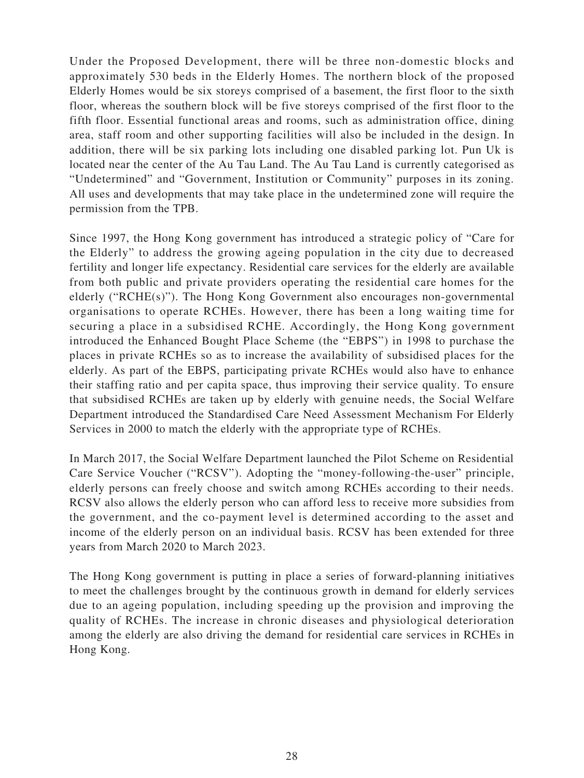Under the Proposed Development, there will be three non-domestic blocks and approximately 530 beds in the Elderly Homes. The northern block of the proposed Elderly Homes would be six storeys comprised of a basement, the first floor to the sixth floor, whereas the southern block will be five storeys comprised of the first floor to the fifth floor. Essential functional areas and rooms, such as administration office, dining area, staff room and other supporting facilities will also be included in the design. In addition, there will be six parking lots including one disabled parking lot. Pun Uk is located near the center of the Au Tau Land. The Au Tau Land is currently categorised as "Undetermined" and "Government, Institution or Community" purposes in its zoning. All uses and developments that may take place in the undetermined zone will require the permission from the TPB.

Since 1997, the Hong Kong government has introduced a strategic policy of "Care for the Elderly" to address the growing ageing population in the city due to decreased fertility and longer life expectancy. Residential care services for the elderly are available from both public and private providers operating the residential care homes for the elderly ("RCHE(s)"). The Hong Kong Government also encourages non-governmental organisations to operate RCHEs. However, there has been a long waiting time for securing a place in a subsidised RCHE. Accordingly, the Hong Kong government introduced the Enhanced Bought Place Scheme (the "EBPS") in 1998 to purchase the places in private RCHEs so as to increase the availability of subsidised places for the elderly. As part of the EBPS, participating private RCHEs would also have to enhance their staffing ratio and per capita space, thus improving their service quality. To ensure that subsidised RCHEs are taken up by elderly with genuine needs, the Social Welfare Department introduced the Standardised Care Need Assessment Mechanism For Elderly Services in 2000 to match the elderly with the appropriate type of RCHEs.

In March 2017, the Social Welfare Department launched the Pilot Scheme on Residential Care Service Voucher ("RCSV"). Adopting the "money-following-the-user" principle, elderly persons can freely choose and switch among RCHEs according to their needs. RCSV also allows the elderly person who can afford less to receive more subsidies from the government, and the co-payment level is determined according to the asset and income of the elderly person on an individual basis. RCSV has been extended for three years from March 2020 to March 2023.

The Hong Kong government is putting in place a series of forward-planning initiatives to meet the challenges brought by the continuous growth in demand for elderly services due to an ageing population, including speeding up the provision and improving the quality of RCHEs. The increase in chronic diseases and physiological deterioration among the elderly are also driving the demand for residential care services in RCHEs in Hong Kong.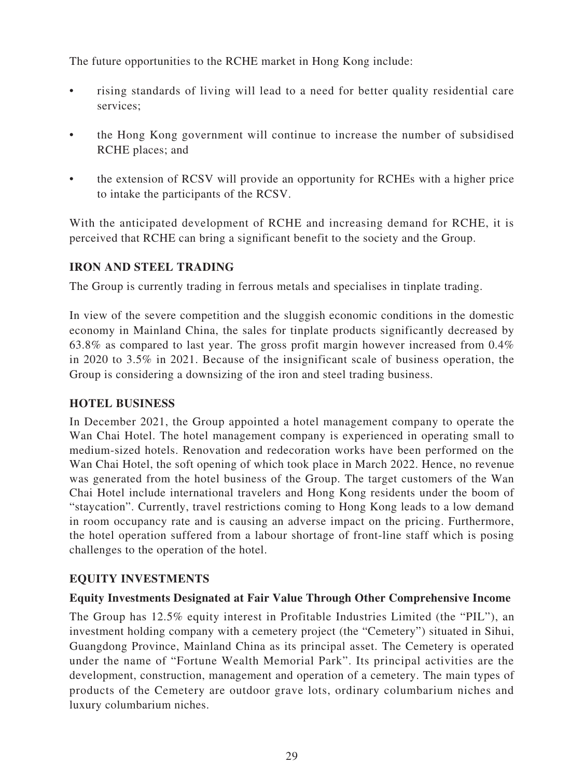The future opportunities to the RCHE market in Hong Kong include:

- rising standards of living will lead to a need for better quality residential care services;
- the Hong Kong government will continue to increase the number of subsidised RCHE places; and
- the extension of RCSV will provide an opportunity for RCHEs with a higher price to intake the participants of the RCSV.

With the anticipated development of RCHE and increasing demand for RCHE, it is perceived that RCHE can bring a significant benefit to the society and the Group.

# **IRON AND STEEL TRADING**

The Group is currently trading in ferrous metals and specialises in tinplate trading.

In view of the severe competition and the sluggish economic conditions in the domestic economy in Mainland China, the sales for tinplate products significantly decreased by 63.8% as compared to last year. The gross profit margin however increased from 0.4% in 2020 to 3.5% in 2021. Because of the insignificant scale of business operation, the Group is considering a downsizing of the iron and steel trading business.

## **HOTEL BUSINESS**

In December 2021, the Group appointed a hotel management company to operate the Wan Chai Hotel. The hotel management company is experienced in operating small to medium-sized hotels. Renovation and redecoration works have been performed on the Wan Chai Hotel, the soft opening of which took place in March 2022. Hence, no revenue was generated from the hotel business of the Group. The target customers of the Wan Chai Hotel include international travelers and Hong Kong residents under the boom of "staycation". Currently, travel restrictions coming to Hong Kong leads to a low demand in room occupancy rate and is causing an adverse impact on the pricing. Furthermore, the hotel operation suffered from a labour shortage of front-line staff which is posing challenges to the operation of the hotel.

# **EQUITY INVESTMENTS**

## **Equity Investments Designated at Fair Value Through Other Comprehensive Income**

The Group has 12.5% equity interest in Profitable Industries Limited (the "PIL"), an investment holding company with a cemetery project (the "Cemetery") situated in Sihui, Guangdong Province, Mainland China as its principal asset. The Cemetery is operated under the name of "Fortune Wealth Memorial Park". Its principal activities are the development, construction, management and operation of a cemetery. The main types of products of the Cemetery are outdoor grave lots, ordinary columbarium niches and luxury columbarium niches.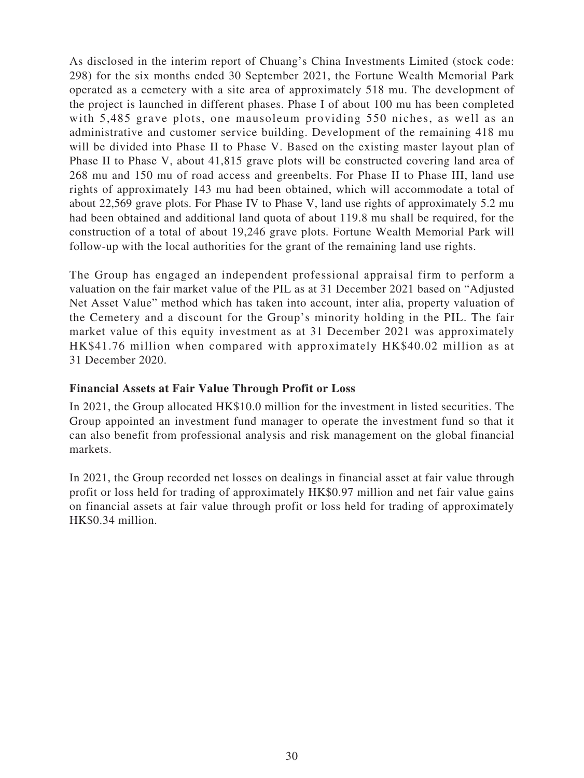As disclosed in the interim report of Chuang's China Investments Limited (stock code: 298) for the six months ended 30 September 2021, the Fortune Wealth Memorial Park operated as a cemetery with a site area of approximately 518 mu. The development of the project is launched in different phases. Phase I of about 100 mu has been completed with 5,485 grave plots, one mausoleum providing 550 niches, as well as an administrative and customer service building. Development of the remaining 418 mu will be divided into Phase II to Phase V. Based on the existing master layout plan of Phase II to Phase V, about 41,815 grave plots will be constructed covering land area of 268 mu and 150 mu of road access and greenbelts. For Phase II to Phase III, land use rights of approximately 143 mu had been obtained, which will accommodate a total of about 22,569 grave plots. For Phase IV to Phase V, land use rights of approximately 5.2 mu had been obtained and additional land quota of about 119.8 mu shall be required, for the construction of a total of about 19,246 grave plots. Fortune Wealth Memorial Park will follow-up with the local authorities for the grant of the remaining land use rights.

The Group has engaged an independent professional appraisal firm to perform a valuation on the fair market value of the PIL as at 31 December 2021 based on "Adjusted Net Asset Value" method which has taken into account, inter alia, property valuation of the Cemetery and a discount for the Group's minority holding in the PIL. The fair market value of this equity investment as at 31 December 2021 was approximately HK\$41.76 million when compared with approximately HK\$40.02 million as at 31 December 2020.

#### **Financial Assets at Fair Value Through Profit or Loss**

In 2021, the Group allocated HK\$10.0 million for the investment in listed securities. The Group appointed an investment fund manager to operate the investment fund so that it can also benefit from professional analysis and risk management on the global financial markets.

In 2021, the Group recorded net losses on dealings in financial asset at fair value through profit or loss held for trading of approximately HK\$0.97 million and net fair value gains on financial assets at fair value through profit or loss held for trading of approximately HK\$0.34 million.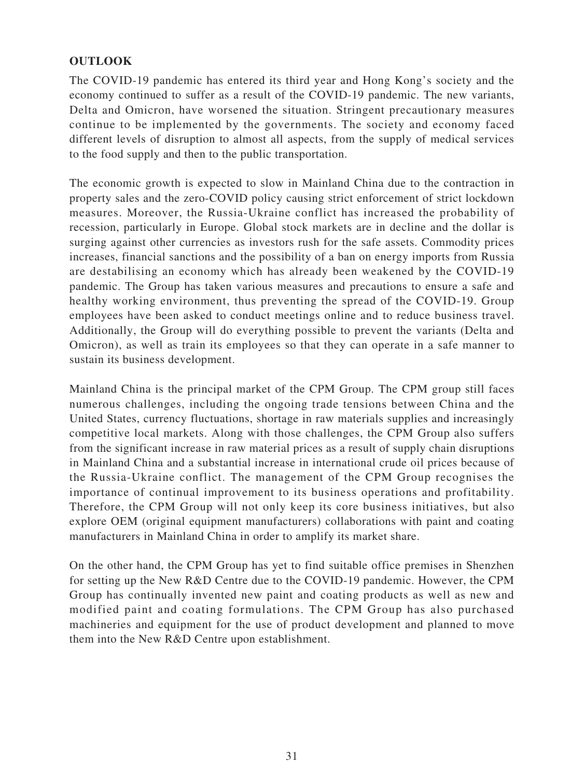# **OUTLOOK**

The COVID-19 pandemic has entered its third year and Hong Kong's society and the economy continued to suffer as a result of the COVID-19 pandemic. The new variants, Delta and Omicron, have worsened the situation. Stringent precautionary measures continue to be implemented by the governments. The society and economy faced different levels of disruption to almost all aspects, from the supply of medical services to the food supply and then to the public transportation.

The economic growth is expected to slow in Mainland China due to the contraction in property sales and the zero-COVID policy causing strict enforcement of strict lockdown measures. Moreover, the Russia-Ukraine conflict has increased the probability of recession, particularly in Europe. Global stock markets are in decline and the dollar is surging against other currencies as investors rush for the safe assets. Commodity prices increases, financial sanctions and the possibility of a ban on energy imports from Russia are destabilising an economy which has already been weakened by the COVID-19 pandemic. The Group has taken various measures and precautions to ensure a safe and healthy working environment, thus preventing the spread of the COVID-19. Group employees have been asked to conduct meetings online and to reduce business travel. Additionally, the Group will do everything possible to prevent the variants (Delta and Omicron), as well as train its employees so that they can operate in a safe manner to sustain its business development.

Mainland China is the principal market of the CPM Group. The CPM group still faces numerous challenges, including the ongoing trade tensions between China and the United States, currency fluctuations, shortage in raw materials supplies and increasingly competitive local markets. Along with those challenges, the CPM Group also suffers from the significant increase in raw material prices as a result of supply chain disruptions in Mainland China and a substantial increase in international crude oil prices because of the Russia-Ukraine conflict. The management of the CPM Group recognises the importance of continual improvement to its business operations and profitability. Therefore, the CPM Group will not only keep its core business initiatives, but also explore OEM (original equipment manufacturers) collaborations with paint and coating manufacturers in Mainland China in order to amplify its market share.

On the other hand, the CPM Group has yet to find suitable office premises in Shenzhen for setting up the New R&D Centre due to the COVID-19 pandemic. However, the CPM Group has continually invented new paint and coating products as well as new and modified paint and coating formulations. The CPM Group has also purchased machineries and equipment for the use of product development and planned to move them into the New R&D Centre upon establishment.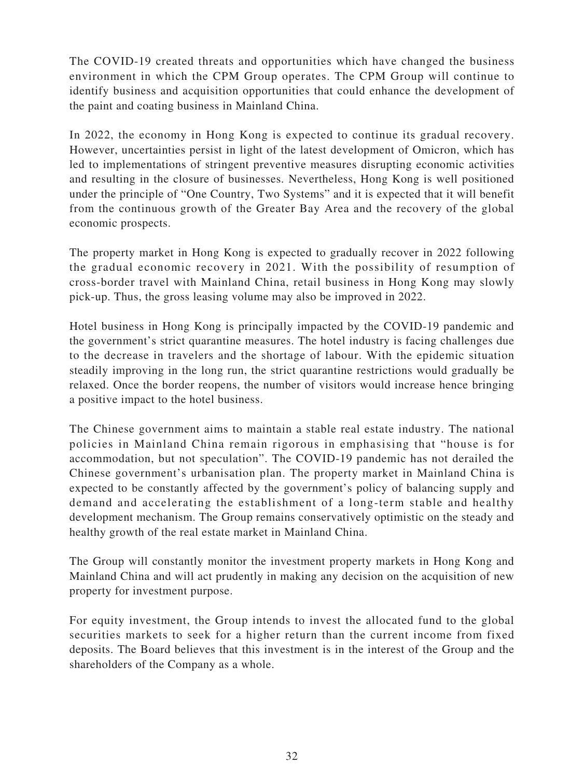The COVID-19 created threats and opportunities which have changed the business environment in which the CPM Group operates. The CPM Group will continue to identify business and acquisition opportunities that could enhance the development of the paint and coating business in Mainland China.

In 2022, the economy in Hong Kong is expected to continue its gradual recovery. However, uncertainties persist in light of the latest development of Omicron, which has led to implementations of stringent preventive measures disrupting economic activities and resulting in the closure of businesses. Nevertheless, Hong Kong is well positioned under the principle of "One Country, Two Systems" and it is expected that it will benefit from the continuous growth of the Greater Bay Area and the recovery of the global economic prospects.

The property market in Hong Kong is expected to gradually recover in 2022 following the gradual economic recovery in 2021. With the possibility of resumption of cross-border travel with Mainland China, retail business in Hong Kong may slowly pick-up. Thus, the gross leasing volume may also be improved in 2022.

Hotel business in Hong Kong is principally impacted by the COVID-19 pandemic and the government's strict quarantine measures. The hotel industry is facing challenges due to the decrease in travelers and the shortage of labour. With the epidemic situation steadily improving in the long run, the strict quarantine restrictions would gradually be relaxed. Once the border reopens, the number of visitors would increase hence bringing a positive impact to the hotel business.

The Chinese government aims to maintain a stable real estate industry. The national policies in Mainland China remain rigorous in emphasising that "house is for accommodation, but not speculation". The COVID-19 pandemic has not derailed the Chinese government's urbanisation plan. The property market in Mainland China is expected to be constantly affected by the government's policy of balancing supply and demand and accelerating the establishment of a long-term stable and healthy development mechanism. The Group remains conservatively optimistic on the steady and healthy growth of the real estate market in Mainland China.

The Group will constantly monitor the investment property markets in Hong Kong and Mainland China and will act prudently in making any decision on the acquisition of new property for investment purpose.

For equity investment, the Group intends to invest the allocated fund to the global securities markets to seek for a higher return than the current income from fixed deposits. The Board believes that this investment is in the interest of the Group and the shareholders of the Company as a whole.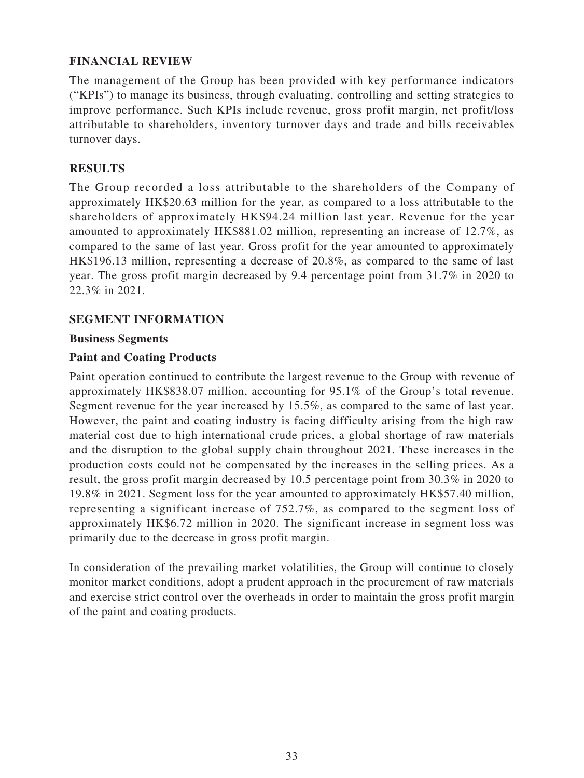## **FINANCIAL REVIEW**

The management of the Group has been provided with key performance indicators ("KPIs") to manage its business, through evaluating, controlling and setting strategies to improve performance. Such KPIs include revenue, gross profit margin, net profit/loss attributable to shareholders, inventory turnover days and trade and bills receivables turnover days.

## **RESULTS**

The Group recorded a loss attributable to the shareholders of the Company of approximately HK\$20.63 million for the year, as compared to a loss attributable to the shareholders of approximately HK\$94.24 million last year. Revenue for the year amounted to approximately HK\$881.02 million, representing an increase of 12.7%, as compared to the same of last year. Gross profit for the year amounted to approximately HK\$196.13 million, representing a decrease of 20.8%, as compared to the same of last year. The gross profit margin decreased by 9.4 percentage point from 31.7% in 2020 to 22.3% in 2021.

## **SEGMENT INFORMATION**

## **Business Segments**

#### **Paint and Coating Products**

Paint operation continued to contribute the largest revenue to the Group with revenue of approximately HK\$838.07 million, accounting for 95.1% of the Group's total revenue. Segment revenue for the year increased by 15.5%, as compared to the same of last year. However, the paint and coating industry is facing difficulty arising from the high raw material cost due to high international crude prices, a global shortage of raw materials and the disruption to the global supply chain throughout 2021. These increases in the production costs could not be compensated by the increases in the selling prices. As a result, the gross profit margin decreased by 10.5 percentage point from 30.3% in 2020 to 19.8% in 2021. Segment loss for the year amounted to approximately HK\$57.40 million, representing a significant increase of 752.7%, as compared to the segment loss of approximately HK\$6.72 million in 2020. The significant increase in segment loss was primarily due to the decrease in gross profit margin.

In consideration of the prevailing market volatilities, the Group will continue to closely monitor market conditions, adopt a prudent approach in the procurement of raw materials and exercise strict control over the overheads in order to maintain the gross profit margin of the paint and coating products.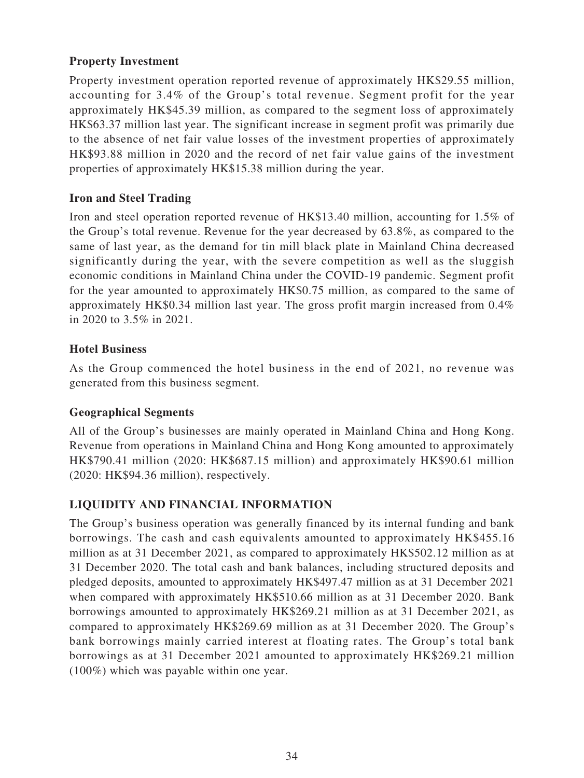# **Property Investment**

Property investment operation reported revenue of approximately HK\$29.55 million, accounting for 3.4% of the Group's total revenue. Segment profit for the year approximately HK\$45.39 million, as compared to the segment loss of approximately HK\$63.37 million last year. The significant increase in segment profit was primarily due to the absence of net fair value losses of the investment properties of approximately HK\$93.88 million in 2020 and the record of net fair value gains of the investment properties of approximately HK\$15.38 million during the year.

# **Iron and Steel Trading**

Iron and steel operation reported revenue of HK\$13.40 million, accounting for 1.5% of the Group's total revenue. Revenue for the year decreased by 63.8%, as compared to the same of last year, as the demand for tin mill black plate in Mainland China decreased significantly during the year, with the severe competition as well as the sluggish economic conditions in Mainland China under the COVID-19 pandemic. Segment profit for the year amounted to approximately HK\$0.75 million, as compared to the same of approximately HK\$0.34 million last year. The gross profit margin increased from 0.4% in 2020 to 3.5% in 2021.

## **Hotel Business**

As the Group commenced the hotel business in the end of 2021, no revenue was generated from this business segment.

## **Geographical Segments**

All of the Group's businesses are mainly operated in Mainland China and Hong Kong. Revenue from operations in Mainland China and Hong Kong amounted to approximately HK\$790.41 million (2020: HK\$687.15 million) and approximately HK\$90.61 million (2020: HK\$94.36 million), respectively.

# **LIQUIDITY AND FINANCIAL INFORMATION**

The Group's business operation was generally financed by its internal funding and bank borrowings. The cash and cash equivalents amounted to approximately HK\$455.16 million as at 31 December 2021, as compared to approximately HK\$502.12 million as at 31 December 2020. The total cash and bank balances, including structured deposits and pledged deposits, amounted to approximately HK\$497.47 million as at 31 December 2021 when compared with approximately HK\$510.66 million as at 31 December 2020. Bank borrowings amounted to approximately HK\$269.21 million as at 31 December 2021, as compared to approximately HK\$269.69 million as at 31 December 2020. The Group's bank borrowings mainly carried interest at floating rates. The Group's total bank borrowings as at 31 December 2021 amounted to approximately HK\$269.21 million (100%) which was payable within one year.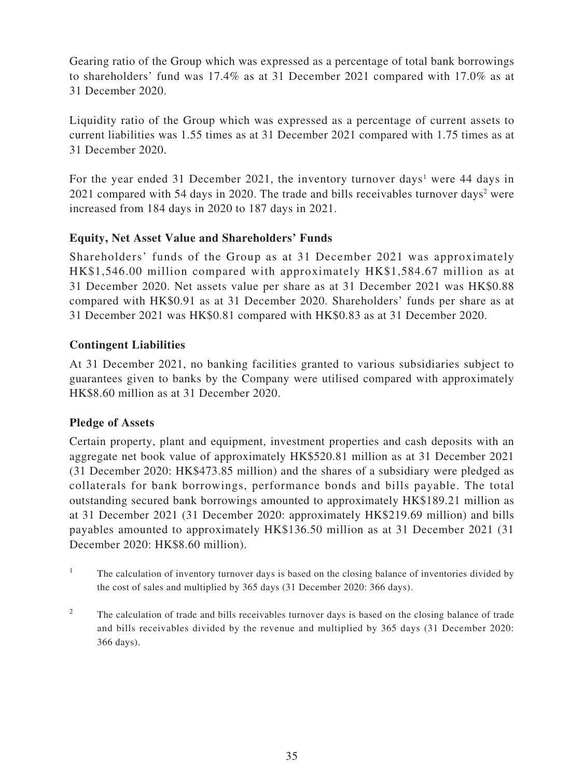Gearing ratio of the Group which was expressed as a percentage of total bank borrowings to shareholders' fund was 17.4% as at 31 December 2021 compared with 17.0% as at 31 December 2020.

Liquidity ratio of the Group which was expressed as a percentage of current assets to current liabilities was 1.55 times as at 31 December 2021 compared with 1.75 times as at 31 December 2020.

For the year ended 31 December 2021, the inventory turnover days<sup>1</sup> were 44 days in 2021 compared with 54 days in 2020. The trade and bills receivables turnover days<sup>2</sup> were increased from 184 days in 2020 to 187 days in 2021.

# **Equity, Net Asset Value and Shareholders' Funds**

Shareholders' funds of the Group as at 31 December 2021 was approximately HK\$1,546.00 million compared with approximately HK\$1,584.67 million as at 31 December 2020. Net assets value per share as at 31 December 2021 was HK\$0.88 compared with HK\$0.91 as at 31 December 2020. Shareholders' funds per share as at 31 December 2021 was HK\$0.81 compared with HK\$0.83 as at 31 December 2020.

# **Contingent Liabilities**

At 31 December 2021, no banking facilities granted to various subsidiaries subject to guarantees given to banks by the Company were utilised compared with approximately HK\$8.60 million as at 31 December 2020.

## **Pledge of Assets**

Certain property, plant and equipment, investment properties and cash deposits with an aggregate net book value of approximately HK\$520.81 million as at 31 December 2021 (31 December 2020: HK\$473.85 million) and the shares of a subsidiary were pledged as collaterals for bank borrowings, performance bonds and bills payable. The total outstanding secured bank borrowings amounted to approximately HK\$189.21 million as at 31 December 2021 (31 December 2020: approximately HK\$219.69 million) and bills payables amounted to approximately HK\$136.50 million as at 31 December 2021 (31 December 2020: HK\$8.60 million).

- <sup>1</sup> The calculation of inventory turnover days is based on the closing balance of inventories divided by the cost of sales and multiplied by 365 days (31 December 2020: 366 days).
- <sup>2</sup> The calculation of trade and bills receivables turnover days is based on the closing balance of trade and bills receivables divided by the revenue and multiplied by 365 days (31 December 2020: 366 days).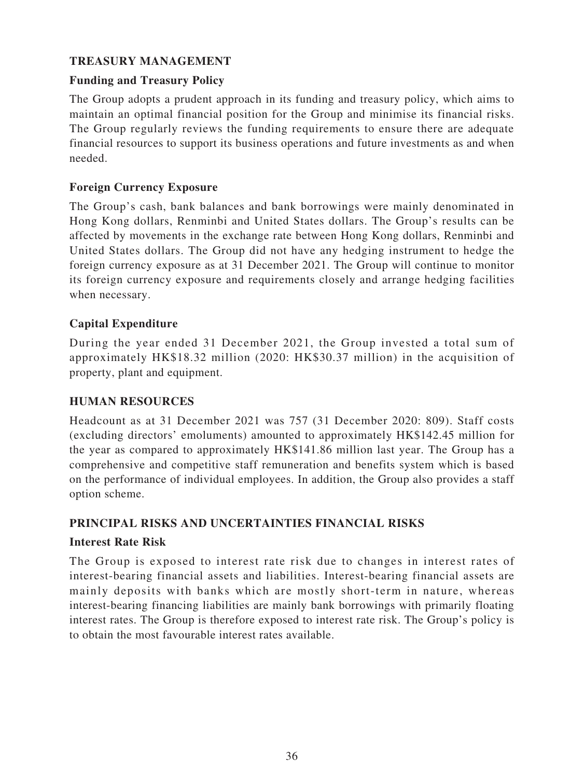# **TREASURY MANAGEMENT**

## **Funding and Treasury Policy**

The Group adopts a prudent approach in its funding and treasury policy, which aims to maintain an optimal financial position for the Group and minimise its financial risks. The Group regularly reviews the funding requirements to ensure there are adequate financial resources to support its business operations and future investments as and when needed.

## **Foreign Currency Exposure**

The Group's cash, bank balances and bank borrowings were mainly denominated in Hong Kong dollars, Renminbi and United States dollars. The Group's results can be affected by movements in the exchange rate between Hong Kong dollars, Renminbi and United States dollars. The Group did not have any hedging instrument to hedge the foreign currency exposure as at 31 December 2021. The Group will continue to monitor its foreign currency exposure and requirements closely and arrange hedging facilities when necessary.

# **Capital Expenditure**

During the year ended 31 December 2021, the Group invested a total sum of approximately HK\$18.32 million (2020: HK\$30.37 million) in the acquisition of property, plant and equipment.

## **HUMAN RESOURCES**

Headcount as at 31 December 2021 was 757 (31 December 2020: 809). Staff costs (excluding directors' emoluments) amounted to approximately HK\$142.45 million for the year as compared to approximately HK\$141.86 million last year. The Group has a comprehensive and competitive staff remuneration and benefits system which is based on the performance of individual employees. In addition, the Group also provides a staff option scheme.

## **PRINCIPAL RISKS AND UNCERTAINTIES FINANCIAL RISKS**

## **Interest Rate Risk**

The Group is exposed to interest rate risk due to changes in interest rates of interest-bearing financial assets and liabilities. Interest-bearing financial assets are mainly deposits with banks which are mostly short-term in nature, whereas interest-bearing financing liabilities are mainly bank borrowings with primarily floating interest rates. The Group is therefore exposed to interest rate risk. The Group's policy is to obtain the most favourable interest rates available.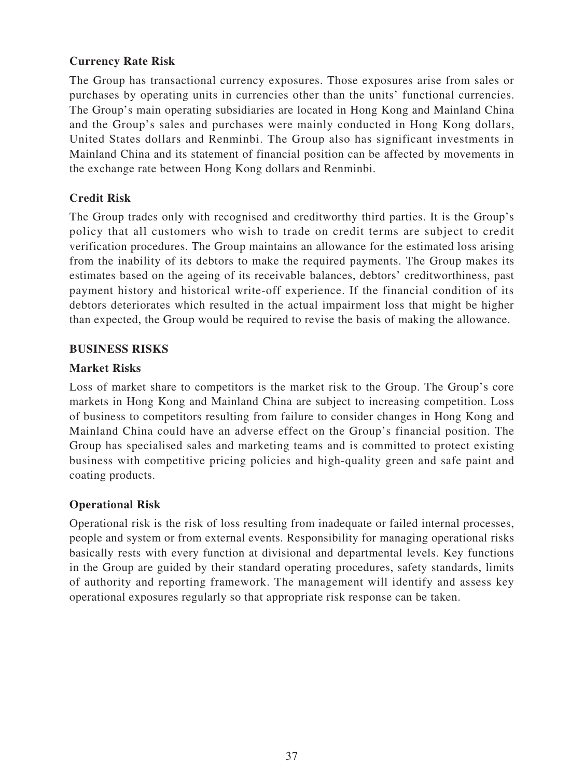# **Currency Rate Risk**

The Group has transactional currency exposures. Those exposures arise from sales or purchases by operating units in currencies other than the units' functional currencies. The Group's main operating subsidiaries are located in Hong Kong and Mainland China and the Group's sales and purchases were mainly conducted in Hong Kong dollars, United States dollars and Renminbi. The Group also has significant investments in Mainland China and its statement of financial position can be affected by movements in the exchange rate between Hong Kong dollars and Renminbi.

# **Credit Risk**

The Group trades only with recognised and creditworthy third parties. It is the Group's policy that all customers who wish to trade on credit terms are subject to credit verification procedures. The Group maintains an allowance for the estimated loss arising from the inability of its debtors to make the required payments. The Group makes its estimates based on the ageing of its receivable balances, debtors' creditworthiness, past payment history and historical write-off experience. If the financial condition of its debtors deteriorates which resulted in the actual impairment loss that might be higher than expected, the Group would be required to revise the basis of making the allowance.

#### **BUSINESS RISKS**

#### **Market Risks**

Loss of market share to competitors is the market risk to the Group. The Group's core markets in Hong Kong and Mainland China are subject to increasing competition. Loss of business to competitors resulting from failure to consider changes in Hong Kong and Mainland China could have an adverse effect on the Group's financial position. The Group has specialised sales and marketing teams and is committed to protect existing business with competitive pricing policies and high-quality green and safe paint and coating products.

## **Operational Risk**

Operational risk is the risk of loss resulting from inadequate or failed internal processes, people and system or from external events. Responsibility for managing operational risks basically rests with every function at divisional and departmental levels. Key functions in the Group are guided by their standard operating procedures, safety standards, limits of authority and reporting framework. The management will identify and assess key operational exposures regularly so that appropriate risk response can be taken.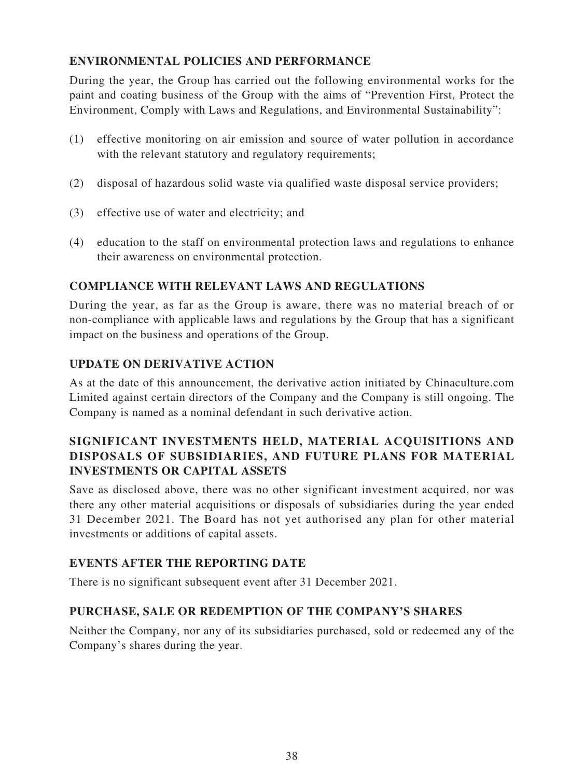# **ENVIRONMENTAL POLICIES AND PERFORMANCE**

During the year, the Group has carried out the following environmental works for the paint and coating business of the Group with the aims of "Prevention First, Protect the Environment, Comply with Laws and Regulations, and Environmental Sustainability":

- (1) effective monitoring on air emission and source of water pollution in accordance with the relevant statutory and regulatory requirements;
- (2) disposal of hazardous solid waste via qualified waste disposal service providers;
- (3) effective use of water and electricity; and
- (4) education to the staff on environmental protection laws and regulations to enhance their awareness on environmental protection.

# **COMPLIANCE WITH RELEVANT LAWS AND REGULATIONS**

During the year, as far as the Group is aware, there was no material breach of or non-compliance with applicable laws and regulations by the Group that has a significant impact on the business and operations of the Group.

# **UPDATE ON DERIVATIVE ACTION**

As at the date of this announcement, the derivative action initiated by Chinaculture.com Limited against certain directors of the Company and the Company is still ongoing. The Company is named as a nominal defendant in such derivative action.

# **SIGNIFICANT INVESTMENTS HELD, MATERIAL ACQUISITIONS AND DISPOSALS OF SUBSIDIARIES, AND FUTURE PLANS FOR MATERIAL INVESTMENTS OR CAPITAL ASSETS**

Save as disclosed above, there was no other significant investment acquired, nor was there any other material acquisitions or disposals of subsidiaries during the year ended 31 December 2021. The Board has not yet authorised any plan for other material investments or additions of capital assets.

## **EVENTS AFTER THE REPORTING DATE**

There is no significant subsequent event after 31 December 2021.

## **PURCHASE, SALE OR REDEMPTION OF THE COMPANY'S SHARES**

Neither the Company, nor any of its subsidiaries purchased, sold or redeemed any of the Company's shares during the year.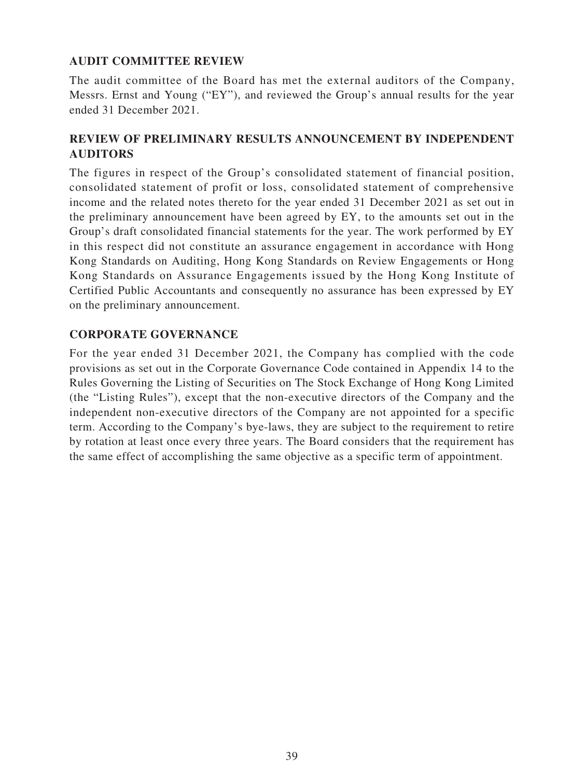# **AUDIT COMMITTEE REVIEW**

The audit committee of the Board has met the external auditors of the Company, Messrs. Ernst and Young ("EY"), and reviewed the Group's annual results for the year ended 31 December 2021.

# **REVIEW OF PRELIMINARY RESULTS ANNOUNCEMENT BY INDEPENDENT AUDITORS**

The figures in respect of the Group's consolidated statement of financial position, consolidated statement of profit or loss, consolidated statement of comprehensive income and the related notes thereto for the year ended 31 December 2021 as set out in the preliminary announcement have been agreed by EY, to the amounts set out in the Group's draft consolidated financial statements for the year. The work performed by EY in this respect did not constitute an assurance engagement in accordance with Hong Kong Standards on Auditing, Hong Kong Standards on Review Engagements or Hong Kong Standards on Assurance Engagements issued by the Hong Kong Institute of Certified Public Accountants and consequently no assurance has been expressed by EY on the preliminary announcement.

## **CORPORATE GOVERNANCE**

For the year ended 31 December 2021, the Company has complied with the code provisions as set out in the Corporate Governance Code contained in Appendix 14 to the Rules Governing the Listing of Securities on The Stock Exchange of Hong Kong Limited (the "Listing Rules"), except that the non-executive directors of the Company and the independent non-executive directors of the Company are not appointed for a specific term. According to the Company's bye-laws, they are subject to the requirement to retire by rotation at least once every three years. The Board considers that the requirement has the same effect of accomplishing the same objective as a specific term of appointment.